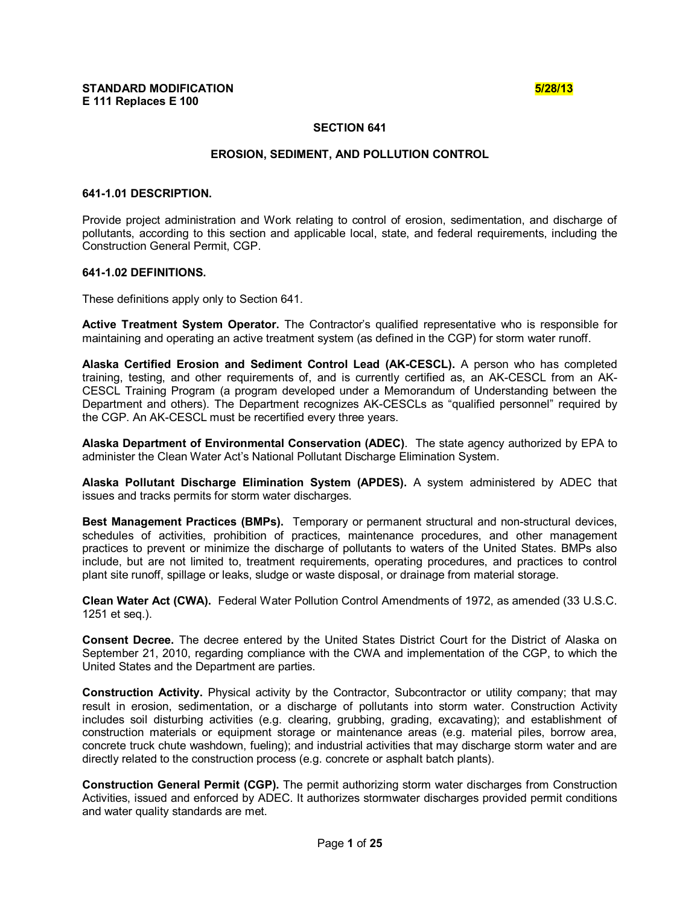## **SECTION 641**

## **EROSION, SEDIMENT, AND POLLUTION CONTROL**

#### **6411.01 DESCRIPTION.**

Provide project administration and Work relating to control of erosion, sedimentation, and discharge of pollutants, according to this section and applicable local, state, and federal requirements, including the Construction General Permit, CGP.

### **6411.02 DEFINITIONS.**

These definitions apply only to Section 641.

**Active Treatment System Operator.** The Contractor's qualified representative who is responsible for maintaining and operating an active treatment system (as defined in the CGP) for storm water runoff.

**Alaska Certified Erosion and Sediment Control Lead (AKCESCL).** A person who has completed training, testing, and other requirements of, and is currently certified as, an AK-CESCL from an AK-CESCL Training Program (a program developed under a Memorandum of Understanding between the Department and others). The Department recognizes AK-CESCLs as "qualified personnel" required by the CGP. An AK-CESCL must be recertified every three years.

**Alaska Department of Environmental Conservation (ADEC)**. The state agency authorized by EPA to administer the Clean Water Act's National Pollutant Discharge Elimination System.

**Alaska Pollutant Discharge Elimination System (APDES).** A system administered by ADEC that issues and tracks permits for storm water discharges.

**Best Management Practices (BMPs).** Temporary or permanent structural and non-structural devices, schedules of activities, prohibition of practices, maintenance procedures, and other management practices to prevent or minimize the discharge of pollutants to waters of the United States. BMPs also include, but are not limited to, treatment requirements, operating procedures, and practices to control plant site runoff, spillage or leaks, sludge or waste disposal, or drainage from material storage.

**Clean Water Act (CWA).** Federal Water Pollution Control Amendments of 1972, as amended (33 U.S.C. 1251 et seq.).

**Consent Decree.** The decree entered by the United States District Court for the District of Alaska on September 21, 2010, regarding compliance with the CWA and implementation of the CGP, to which the United States and the Department are parties.

**Construction Activity.** Physical activity by the Contractor, Subcontractor or utility company; that may result in erosion, sedimentation, or a discharge of pollutants into storm water. Construction Activity includes soil disturbing activities (e.g. clearing, grubbing, grading, excavating); and establishment of construction materials or equipment storage or maintenance areas (e.g. material piles, borrow area, concrete truck chute washdown, fueling); and industrial activities that may discharge storm water and are directly related to the construction process (e.g. concrete or asphalt batch plants).

**Construction General Permit (CGP).** The permit authorizing storm water discharges from Construction Activities, issued and enforced by ADEC. It authorizes stormwater discharges provided permit conditions and water quality standards are met.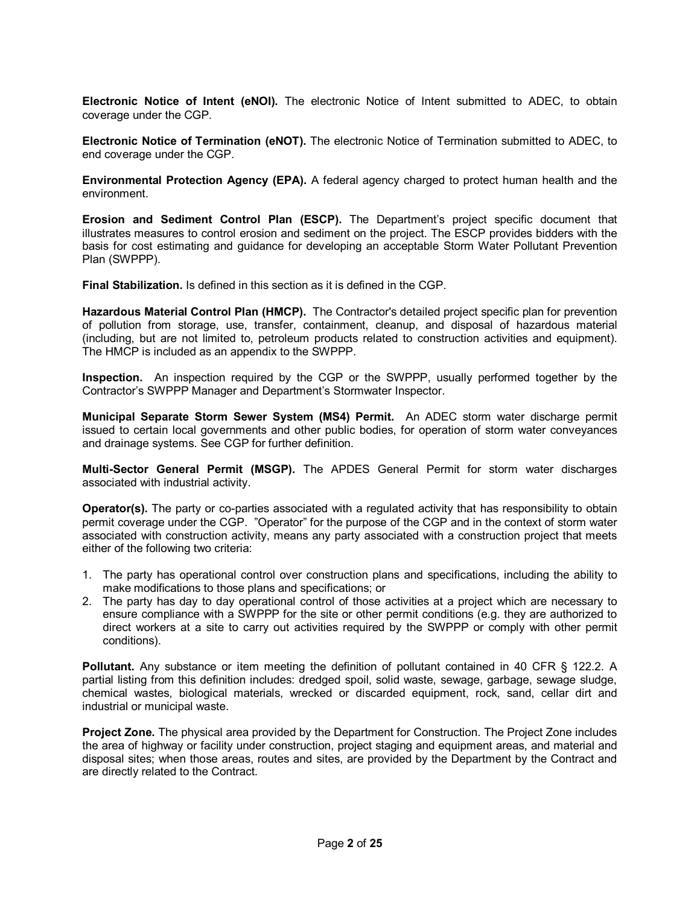**Electronic Notice of Intent (eNOI).** The electronic Notice of Intent submitted to ADEC, to obtain coverage under the CGP.

**Electronic Notice of Termination (eNOT).** The electronic Notice of Termination submitted to ADEC, to end coverage under the CGP.

**Environmental Protection Agency (EPA).** A federal agency charged to protect human health and the environment.

**Erosion and Sediment Control Plan (ESCP).** The Department's project specific document that illustrates measures to control erosion and sediment on the project. The ESCP provides bidders with the basis for cost estimating and guidance for developing an acceptable Storm Water Pollutant Prevention Plan (SWPPP).

**Final Stabilization.** Is defined in this section as it is defined in the CGP.

**Hazardous Material Control Plan (HMCP).** The Contractor's detailed project specific plan for prevention of pollution from storage, use, transfer, containment, cleanup, and disposal of hazardous material (including, but are not limited to, petroleum products related to construction activities and equipment). The HMCP is included as an appendix to the SWPPP.

**Inspection.** An inspection required by the CGP or the SWPPP, usually performed together by the Contractor's SWPPP Manager and Department's Stormwater Inspector.

**Municipal Separate Storm Sewer System (MS4) Permit.** An ADEC storm water discharge permit issued to certain local governments and other public bodies, for operation of storm water conveyances and drainage systems. See CGP for further definition.

**MultiSector General Permit (MSGP).** The APDES General Permit for storm water discharges associated with industrial activity.

**Operator(s).** The party or co-parties associated with a regulated activity that has responsibility to obtain permit coverage under the CGP. "Operator" for the purpose of the CGP and in the context of storm water associated with construction activity, means any party associated with a construction project that meets either of the following two criteria:

- 1. The party has operational control over construction plans and specifications, including the ability to make modifications to those plans and specifications; or
- 2. The party has day to day operational control of those activities at a project which are necessary to ensure compliance with a SWPPP for the site or other permit conditions (e.g. they are authorized to direct workers at a site to carry out activities required by the SWPPP or comply with other permit conditions).

**Pollutant.** Any substance or item meeting the definition of pollutant contained in 40 CFR § 122.2. A partial listing from this definition includes: dredged spoil, solid waste, sewage, garbage, sewage sludge, chemical wastes, biological materials, wrecked or discarded equipment, rock, sand, cellar dirt and industrial or municipal waste.

**Project Zone.** The physical area provided by the Department for Construction. The Project Zone includes the area of highway or facility under construction, project staging and equipment areas, and material and disposal sites; when those areas, routes and sites, are provided by the Department by the Contract and are directly related to the Contract.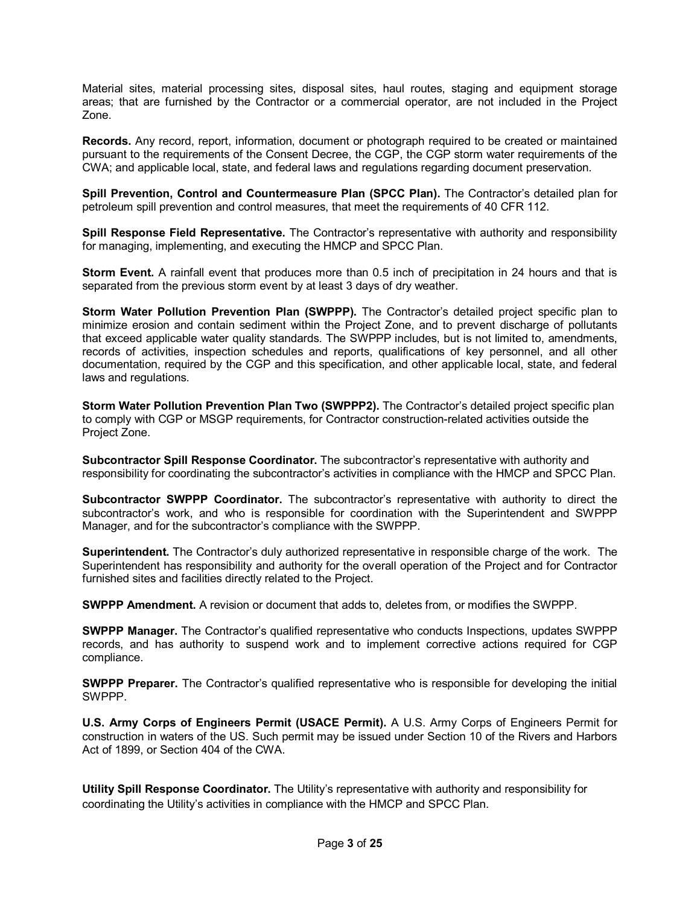Material sites, material processing sites, disposal sites, haul routes, staging and equipment storage areas; that are furnished by the Contractor or a commercial operator, are not included in the Project Zone.

**Records.** Any record, report, information, document or photograph required to be created or maintained pursuant to the requirements of the Consent Decree, the CGP, the CGP storm water requirements of the CWA; and applicable local, state, and federal laws and regulations regarding document preservation.

**Spill Prevention, Control and Countermeasure Plan (SPCC Plan).** The Contractor's detailed plan for petroleum spill prevention and control measures, that meet the requirements of 40 CFR 112.

**Spill Response Field Representative.** The Contractor's representative with authority and responsibility for managing, implementing, and executing the HMCP and SPCC Plan.

**Storm Event.** A rainfall event that produces more than 0.5 inch of precipitation in 24 hours and that is separated from the previous storm event by at least 3 days of dry weather.

**Storm Water Pollution Prevention Plan (SWPPP).** The Contractor's detailed project specific plan to minimize erosion and contain sediment within the Project Zone, and to prevent discharge of pollutants that exceed applicable water quality standards. The SWPPP includes, but is not limited to, amendments, records of activities, inspection schedules and reports, qualifications of key personnel, and all other documentation, required by the CGP and this specification, and other applicable local, state, and federal laws and regulations.

**Storm Water Pollution Prevention Plan Two (SWPPP2).** The Contractor's detailed project specific plan to comply with CGP or MSGP requirements, for Contractor construction-related activities outside the Project Zone.

**Subcontractor Spill Response Coordinator.** The subcontractor's representative with authority and responsibility for coordinating the subcontractor's activities in compliance with the HMCP and SPCC Plan.

**Subcontractor SWPPP Coordinator.** The subcontractor's representative with authority to direct the subcontractor's work, and who is responsible for coordination with the Superintendent and SWPPP Manager, and for the subcontractor's compliance with the SWPPP.

**Superintendent.** The Contractor's duly authorized representative in responsible charge of the work. The Superintendent has responsibility and authority for the overall operation of the Project and for Contractor furnished sites and facilities directly related to the Project.

**SWPPP Amendment.** A revision or document that adds to, deletes from, or modifies the SWPPP.

**SWPPP Manager.** The Contractor's qualified representative who conducts Inspections, updates SWPPP records, and has authority to suspend work and to implement corrective actions required for CGP compliance.

**SWPPP Preparer.** The Contractor's qualified representative who is responsible for developing the initial SWPPP.

**U.S. Army Corps of Engineers Permit (USACE Permit).** A U.S. Army Corps of Engineers Permit for construction in waters of the US. Such permit may be issued under Section 10 of the Rivers and Harbors Act of 1899, or Section 404 of the CWA.

**Utility Spill Response Coordinator.** The Utility's representative with authority and responsibility for coordinating the Utility's activities in compliance with the HMCP and SPCC Plan.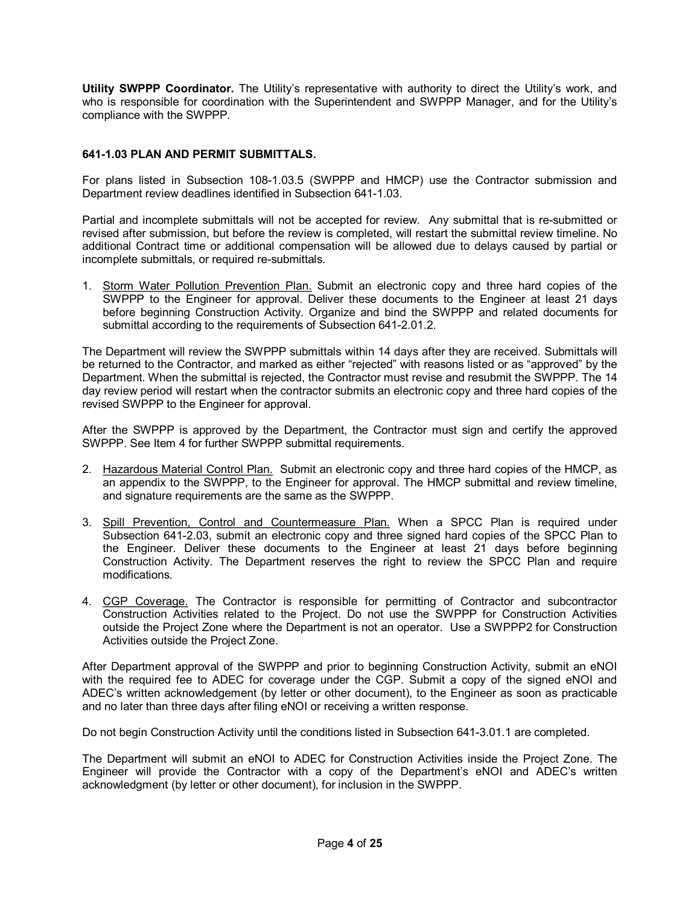**Utility SWPPP Coordinator.** The Utility's representative with authority to direct the Utility's work, and who is responsible for coordination with the Superintendent and SWPPP Manager, and for the Utility's compliance with the SWPPP.

## **6411.03 PLAN AND PERMIT SUBMITTALS.**

For plans listed in Subsection 108-1.03.5 (SWPPP and HMCP) use the Contractor submission and Department review deadlines identified in Subsection 641-1.03.

Partial and incomplete submittals will not be accepted for review. Any submittal that is re-submitted or revised after submission, but before the review is completed, will restart the submittal review timeline. No additional Contract time or additional compensation will be allowed due to delays caused by partial or incomplete submittals, or required re-submittals.

1. Storm Water Pollution Prevention Plan. Submit an electronic copy and three hard copies of the SWPPP to the Engineer for approval. Deliver these documents to the Engineer at least 21 days before beginning Construction Activity. Organize and bind the SWPPP and related documents for submittal according to the requirements of Subsection 641-2.01.2.

The Department will review the SWPPP submittals within 14 days after they are received. Submittals will be returned to the Contractor, and marked as either "rejected" with reasons listed or as "approved" by the Department. When the submittal is rejected, the Contractor must revise and resubmit the SWPPP. The 14 day review period will restart when the contractor submits an electronic copy and three hard copies of the revised SWPPP to the Engineer for approval.

After the SWPPP is approved by the Department, the Contractor must sign and certify the approved SWPPP. See Item 4 for further SWPPP submittal requirements.

- 2. Hazardous Material Control Plan. Submit an electronic copy and three hard copies of the HMCP, as an appendix to the SWPPP, to the Engineer for approval. The HMCP submittal and review timeline, and signature requirements are the same as the SWPPP.
- 3. Spill Prevention, Control and Countermeasure Plan. When a SPCC Plan is required under Subsection 641-2.03, submit an electronic copy and three signed hard copies of the SPCC Plan to the Engineer. Deliver these documents to the Engineer at least 21 days before beginning Construction Activity. The Department reserves the right to review the SPCC Plan and require modifications.
- 4. CGP Coverage. The Contractor is responsible for permitting of Contractor and subcontractor Construction Activities related to the Project. Do not use the SWPPP for Construction Activities outside the Project Zone where the Department is not an operator. Use a SWPPP2 for Construction Activities outside the Project Zone.

After Department approval of the SWPPP and prior to beginning Construction Activity, submit an eNOI with the required fee to ADEC for coverage under the CGP. Submit a copy of the signed eNOI and ADEC's written acknowledgement (by letter or other document), to the Engineer as soon as practicable and no later than three days after filing eNOI or receiving a written response.

Do not begin Construction Activity until the conditions listed in Subsection 641-3.01.1 are completed.

The Department will submit an eNOI to ADEC for Construction Activities inside the Project Zone. The Engineer will provide the Contractor with a copy of the Department's eNOI and ADEC's written acknowledgment (by letter or other document), for inclusion in the SWPPP.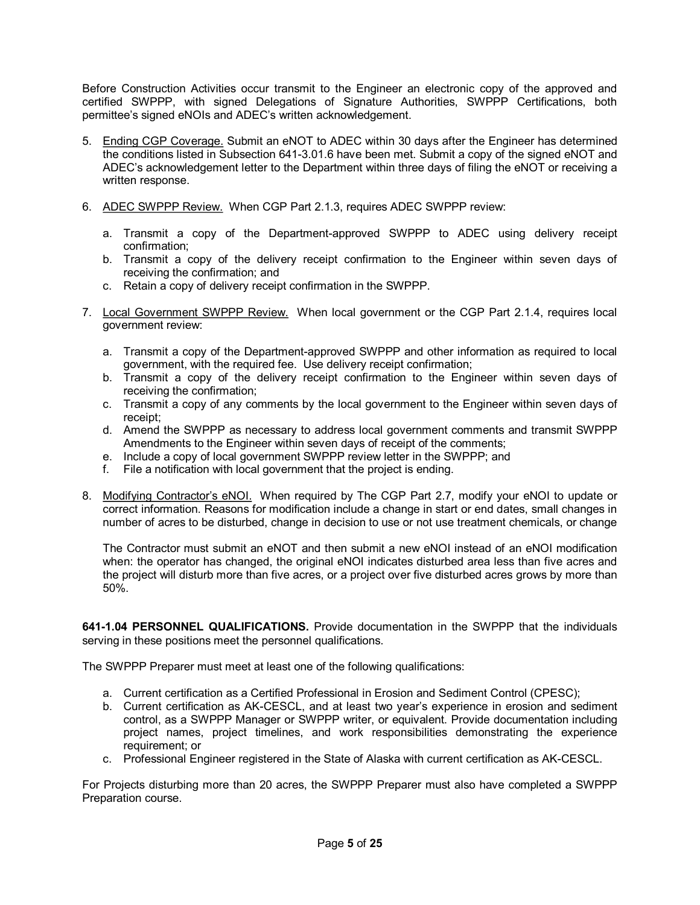Before Construction Activities occur transmit to the Engineer an electronic copy of the approved and certified SWPPP, with signed Delegations of Signature Authorities, SWPPP Certifications, both permittee's signed eNOIs and ADEC's written acknowledgement.

- 5. Ending CGP Coverage. Submit an eNOT to ADEC within 30 days after the Engineer has determined the conditions listed in Subsection 641-3.01.6 have been met. Submit a copy of the signed eNOT and ADEC's acknowledgement letter to the Department within three days of filing the eNOT or receiving a written response.
- 6. ADEC SWPPP Review. When CGP Part 2.1.3, requires ADEC SWPPP review:
	- a. Transmit a copy of the Department-approved SWPPP to ADEC using delivery receipt confirmation;
	- b. Transmit a copy of the delivery receipt confirmation to the Engineer within seven days of receiving the confirmation; and
	- c. Retain a copy of delivery receipt confirmation in the SWPPP.
- 7. Local Government SWPPP Review. When local government or the CGP Part 2.1.4, requires local government review:
	- a. Transmit a copy of the Department-approved SWPPP and other information as required to local government, with the required fee. Use delivery receipt confirmation;
	- b. Transmit a copy of the delivery receipt confirmation to the Engineer within seven days of receiving the confirmation;
	- c. Transmit a copy of any comments by the local government to the Engineer within seven days of receipt;
	- d. Amend the SWPPP as necessary to address local government comments and transmit SWPPP Amendments to the Engineer within seven days of receipt of the comments;
	- e. Include a copy of local government SWPPP review letter in the SWPPP; and
	- f. File a notification with local government that the project is ending.
- 8. Modifying Contractor's eNOI. When required by The CGP Part 2.7, modify your eNOI to update or correct information. Reasons for modification include a change in start or end dates, small changes in number of acres to be disturbed, change in decision to use or not use treatment chemicals, or change

The Contractor must submit an eNOT and then submit a new eNOI instead of an eNOI modification when: the operator has changed, the original eNOI indicates disturbed area less than five acres and the project will disturb more than five acres, or a project over five disturbed acres grows by more than 50%.

**6411.04 PERSONNEL QUALIFICATIONS.** Provide documentation in the SWPPP that the individuals serving in these positions meet the personnel qualifications.

The SWPPP Preparer must meet at least one of the following qualifications:

- a. Current certification as a Certified Professional in Erosion and Sediment Control (CPESC);
- b. Current certification as AK-CESCL, and at least two vear's experience in erosion and sediment control, as a SWPPP Manager or SWPPP writer, or equivalent. Provide documentation including project names, project timelines, and work responsibilities demonstrating the experience requirement; or
- c. Professional Engineer registered in the State of Alaska with current certification as AK-CESCL.

For Projects disturbing more than 20 acres, the SWPPP Preparer must also have completed a SWPPP Preparation course.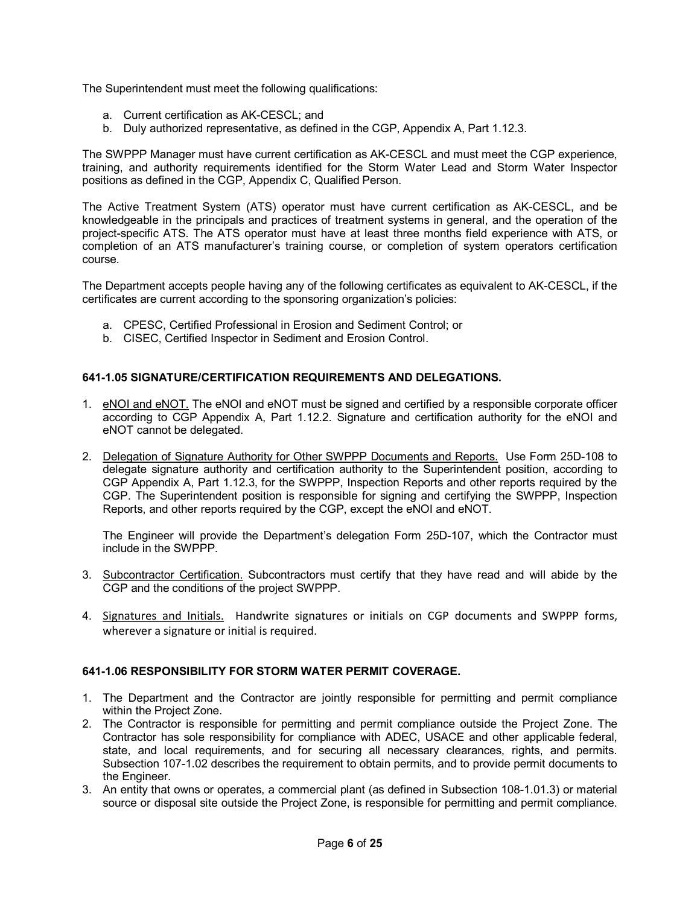The Superintendent must meet the following qualifications:

- a. Current certification as AK-CESCL: and
- b. Duly authorized representative, as defined in the CGP, Appendix A, Part 1.12.3.

The SWPPP Manager must have current certification as AK-CESCL and must meet the CGP experience, training, and authority requirements identified for the Storm Water Lead and Storm Water Inspector positions as defined in the CGP, Appendix C, Qualified Person.

The Active Treatment System (ATS) operator must have current certification as AK-CESCL, and be knowledgeable in the principals and practices of treatment systems in general, and the operation of the project-specific ATS. The ATS operator must have at least three months field experience with ATS, or completion of an ATS manufacturer's training course, or completion of system operators certification course.

The Department accepts people having any of the following certificates as equivalent to AK-CESCL, if the certificates are current according to the sponsoring organization's policies:

- a. CPESC, Certified Professional in Erosion and Sediment Control; or
- b. CISEC, Certified Inspector in Sediment and Erosion Control.

## **6411.05 SIGNATURE/CERTIFICATION REQUIREMENTS AND DELEGATIONS.**

- 1. eNOI and eNOT. The eNOI and eNOT must be signed and certified by a responsible corporate officer according to CGP Appendix A, Part 1.12.2. Signature and certification authority for the eNOI and eNOT cannot be delegated.
- 2. Delegation of Signature Authority for Other SWPPP Documents and Reports. Use Form 25D-108 to delegate signature authority and certification authority to the Superintendent position, according to CGP Appendix A, Part 1.12.3, for the SWPPP, Inspection Reports and other reports required by the CGP. The Superintendent position is responsible for signing and certifying the SWPPP, Inspection Reports, and other reports required by the CGP, except the eNOI and eNOT.

The Engineer will provide the Department's delegation Form 25D-107, which the Contractor must include in the SWPPP.

- 3. Subcontractor Certification. Subcontractors must certify that they have read and will abide by the CGP and the conditions of the project SWPPP.
- 4. Signatures and Initials. Handwrite signatures or initials on CGP documents and SWPPP forms, wherever a signature or initial is required.

### **6411.06 RESPONSIBILITY FOR STORM WATER PERMIT COVERAGE.**

- 1. The Department and the Contractor are jointly responsible for permitting and permit compliance within the Project Zone.
- 2. The Contractor is responsible for permitting and permit compliance outside the Project Zone. The Contractor has sole responsibility for compliance with ADEC, USACE and other applicable federal, state, and local requirements, and for securing all necessary clearances, rights, and permits. Subsection 107-1.02 describes the requirement to obtain permits, and to provide permit documents to the Engineer.
- 3. An entity that owns or operates, a commercial plant (as defined in Subsection 108-1.01.3) or material source or disposal site outside the Project Zone, is responsible for permitting and permit compliance.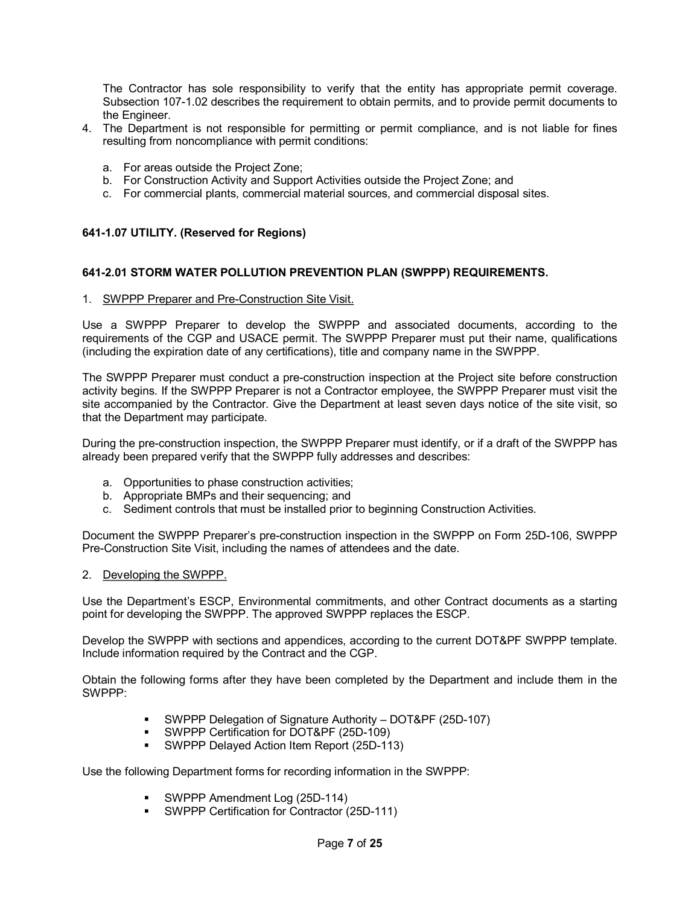The Contractor has sole responsibility to verify that the entity has appropriate permit coverage. Subsection 107-1.02 describes the requirement to obtain permits, and to provide permit documents to the Engineer.

- 4. The Department is not responsible for permitting or permit compliance, and is not liable for fines resulting from noncompliance with permit conditions:
	- a. For areas outside the Project Zone;
	- b. For Construction Activity and Support Activities outside the Project Zone; and
	- c. For commercial plants, commercial material sources, and commercial disposal sites.

## **6411.07 UTILITY. (Reserved for Regions)**

## **6412.01 STORM WATER POLLUTION PREVENTION PLAN (SWPPP) REQUIREMENTS.**

### 1. SWPPP Preparer and Pre-Construction Site Visit.

Use a SWPPP Preparer to develop the SWPPP and associated documents, according to the requirements of the CGP and USACE permit. The SWPPP Preparer must put their name, qualifications (including the expiration date of any certifications), title and company name in the SWPPP.

The SWPPP Preparer must conduct a pre-construction inspection at the Project site before construction activity begins. If the SWPPP Preparer is not a Contractor employee, the SWPPP Preparer must visit the site accompanied by the Contractor. Give the Department at least seven days notice of the site visit, so that the Department may participate.

During the pre-construction inspection, the SWPPP Preparer must identify, or if a draft of the SWPPP has already been prepared verify that the SWPPP fully addresses and describes:

- a. Opportunities to phase construction activities;
- b. Appropriate BMPs and their sequencing; and
- c. Sediment controls that must be installed prior to beginning Construction Activities.

Document the SWPPP Preparer's pre-construction inspection in the SWPPP on Form 25D-106, SWPPP PreConstruction Site Visit, including the names of attendees and the date.

### 2. Developing the SWPPP.

Use the Department's ESCP, Environmental commitments, and other Contract documents as a starting point for developing the SWPPP. The approved SWPPP replaces the ESCP.

Develop the SWPPP with sections and appendices, according to the current DOT&PF SWPPP template. Include information required by the Contract and the CGP.

Obtain the following forms after they have been completed by the Department and include them in the SWPPP:

- **SWPPP Delegation of Signature Authority DOT&PF (25D-107)**
- **SWPPP Certification for DOT&PF (25D-109)**
- SWPPP Delayed Action Item Report (25D-113)

Use the following Department forms for recording information in the SWPPP:

- SWPPP Amendment Log (25D-114)
- **SWPPP Certification for Contractor (25D-111)**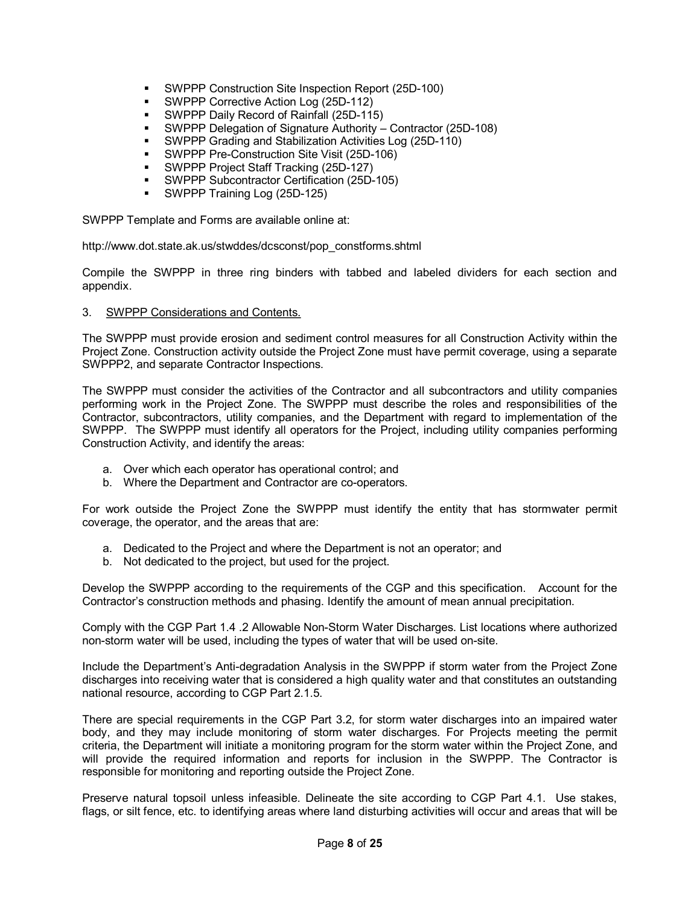- **SWPPP Construction Site Inspection Report (25D-100)**
- SWPPP Corrective Action Log (25D-112)
- SWPPP Daily Record of Rainfall (25D-115)
- **SWPPP Delegation of Signature Authority Contractor (25D-108)**
- **SWPPP Grading and Stabilization Activities Log (25D-110)**
- SWPPP Pre-Construction Site Visit (25D-106)
- **SWPPP Project Staff Tracking (25D-127)**
- **SWPPP Subcontractor Certification (25D-105)**
- SWPPP Training Log (25D-125)

SWPPP Template and Forms are available online at:

http://www.dot.state.ak.us/stwddes/dcsconst/pop\_constforms.shtml

Compile the SWPPP in three ring binders with tabbed and labeled dividers for each section and appendix.

## 3. SWPPP Considerations and Contents.

The SWPPP must provide erosion and sediment control measures for all Construction Activity within the Project Zone. Construction activity outside the Project Zone must have permit coverage, using a separate SWPPP2, and separate Contractor Inspections.

The SWPPP must consider the activities of the Contractor and all subcontractors and utility companies performing work in the Project Zone. The SWPPP must describe the roles and responsibilities of the Contractor, subcontractors, utility companies, and the Department with regard to implementation of the SWPPP. The SWPPP must identify all operators for the Project, including utility companies performing Construction Activity, and identify the areas:

- a. Over which each operator has operational control; and
- b. Where the Department and Contractor are co-operators.

For work outside the Project Zone the SWPPP must identify the entity that has stormwater permit coverage, the operator, and the areas that are:

- a. Dedicated to the Project and where the Department is not an operator; and
- b. Not dedicated to the project, but used for the project.

Develop the SWPPP according to the requirements of the CGP and this specification. Account for the Contractor's construction methods and phasing. Identify the amount of mean annual precipitation.

Comply with the CGP Part 1.4 .2 Allowable Non-Storm Water Discharges. List locations where authorized non-storm water will be used, including the types of water that will be used on-site.

Include the Department's Anti-degradation Analysis in the SWPPP if storm water from the Project Zone discharges into receiving water that is considered a high quality water and that constitutes an outstanding national resource, according to CGP Part 2.1.5.

There are special requirements in the CGP Part 3.2, for storm water discharges into an impaired water body, and they may include monitoring of storm water discharges. For Projects meeting the permit criteria, the Department will initiate a monitoring program for the storm water within the Project Zone, and will provide the required information and reports for inclusion in the SWPPP. The Contractor is responsible for monitoring and reporting outside the Project Zone.

Preserve natural topsoil unless infeasible. Delineate the site according to CGP Part 4.1. Use stakes, flags, or silt fence, etc. to identifying areas where land disturbing activities will occur and areas that will be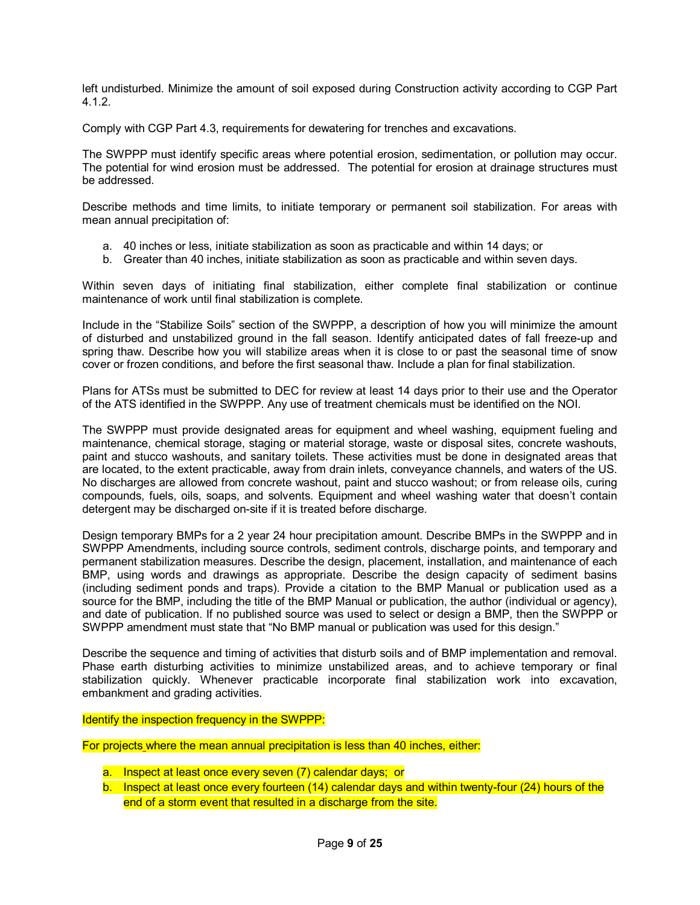left undisturbed. Minimize the amount of soil exposed during Construction activity according to CGP Part 4.1.2.

Comply with CGP Part 4.3, requirements for dewatering for trenches and excavations.

The SWPPP must identify specific areas where potential erosion, sedimentation, or pollution may occur. The potential for wind erosion must be addressed. The potential for erosion at drainage structures must be addressed.

Describe methods and time limits, to initiate temporary or permanent soil stabilization. For areas with mean annual precipitation of:

- a. 40 inches or less, initiate stabilization as soon as practicable and within 14 days; or
- b. Greater than 40 inches, initiate stabilization as soon as practicable and within seven days.

Within seven days of initiating final stabilization, either complete final stabilization or continue maintenance of work until final stabilization is complete.

Include in the "Stabilize Soils" section of the SWPPP, a description of how you will minimize the amount of disturbed and unstabilized ground in the fall season. Identify anticipated dates of fall freeze-up and spring thaw. Describe how you will stabilize areas when it is close to or past the seasonal time of snow cover or frozen conditions, and before the first seasonal thaw. Include a plan for final stabilization.

Plans for ATSs must be submitted to DEC for review at least 14 days prior to their use and the Operator of the ATS identified in the SWPPP. Any use of treatment chemicals must be identified on the NOI.

The SWPPP must provide designated areas for equipment and wheel washing, equipment fueling and maintenance, chemical storage, staging or material storage, waste or disposal sites, concrete washouts, paint and stucco washouts, and sanitary toilets. These activities must be done in designated areas that are located, to the extent practicable, away from drain inlets, conveyance channels, and waters of the US. No discharges are allowed from concrete washout, paint and stucco washout; or from release oils, curing compounds, fuels, oils, soaps, and solvents. Equipment and wheel washing water that doesn't contain detergent may be discharged on-site if it is treated before discharge.

Design temporary BMPs for a 2 year 24 hour precipitation amount. Describe BMPs in the SWPPP and in SWPPP Amendments, including source controls, sediment controls, discharge points, and temporary and permanent stabilization measures. Describe the design, placement, installation, and maintenance of each BMP, using words and drawings as appropriate. Describe the design capacity of sediment basins (including sediment ponds and traps). Provide a citation to the BMP Manual or publication used as a source for the BMP, including the title of the BMP Manual or publication, the author (individual or agency), and date of publication. If no published source was used to select or design a BMP, then the SWPPP or SWPPP amendment must state that "No BMP manual or publication was used for this design."

Describe the sequence and timing of activities that disturb soils and of BMP implementation and removal. Phase earth disturbing activities to minimize unstabilized areas, and to achieve temporary or final stabilization quickly. Whenever practicable incorporate final stabilization work into excavation, embankment and grading activities.

Identify the inspection frequency in the SWPPP:

For projects where the mean annual precipitation is less than 40 inches, either:

- a. Inspect at least once every seven (7) calendar days; or
- b. Inspect at least once every fourteen  $(14)$  calendar days and within twenty-four  $(24)$  hours of the end of a storm event that resulted in a discharge from the site.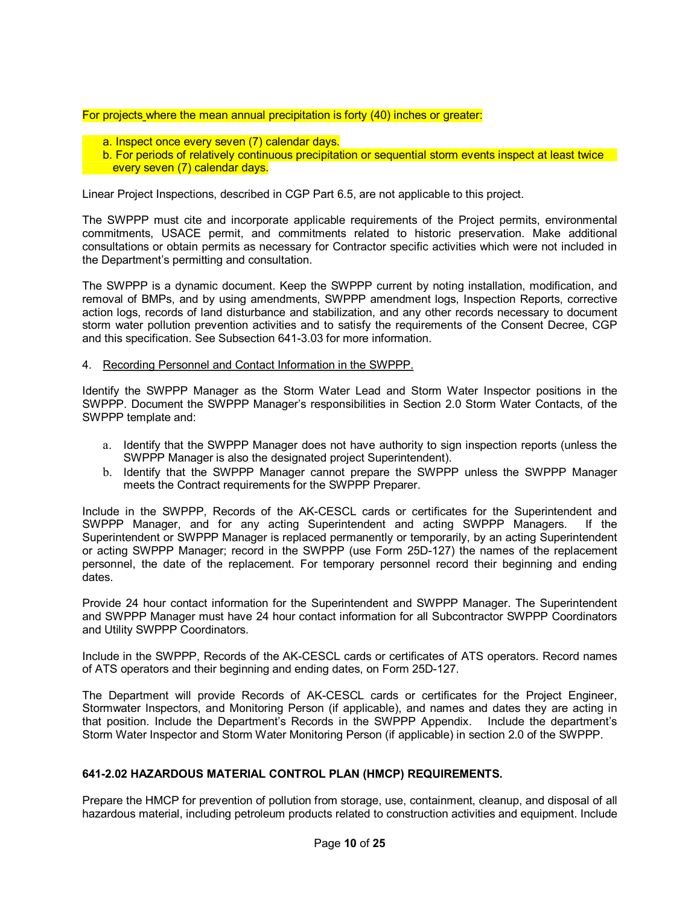## For projects where the mean annual precipitation is forty (40) inches or greater:

- a. Inspect once every seven (7) calendar days.
- b. For periods of relatively continuous precipitation or sequential storm events inspect at least twice every seven (7) calendar days.

Linear Project Inspections, described in CGP Part 6.5, are not applicable to this project.

The SWPPP must cite and incorporate applicable requirements of the Project permits, environmental commitments, USACE permit, and commitments related to historic preservation. Make additional consultations or obtain permits as necessary for Contractor specific activities which were not included in the Department's permitting and consultation.

The SWPPP is a dynamic document. Keep the SWPPP current by noting installation, modification, and removal of BMPs, and by using amendments, SWPPP amendment logs, Inspection Reports, corrective action logs, records of land disturbance and stabilization, and any other records necessary to document storm water pollution prevention activities and to satisfy the requirements of the Consent Decree, CGP and this specification. See Subsection 641-3.03 for more information.

## 4. Recording Personnel and Contact Information in the SWPPP.

Identify the SWPPP Manager as the Storm Water Lead and Storm Water Inspector positions in the SWPPP. Document the SWPPP Manager's responsibilities in Section 2.0 Storm Water Contacts, of the SWPPP template and:

- a. Identify that the SWPPP Manager does not have authority to sign inspection reports (unless the SWPPP Manager is also the designated project Superintendent).
- b. Identify that the SWPPP Manager cannot prepare the SWPPP unless the SWPPP Manager meets the Contract requirements for the SWPPP Preparer.

Include in the SWPPP, Records of the AK-CESCL cards or certificates for the Superintendent and SWPPP Manager, and for any acting Superintendent and acting SWPPP Managers. If the Superintendent or SWPPP Manager is replaced permanently or temporarily, by an acting Superintendent or acting SWPPP Manager; record in the SWPPP (use Form 25D-127) the names of the replacement personnel, the date of the replacement. For temporary personnel record their beginning and ending dates.

Provide 24 hour contact information for the Superintendent and SWPPP Manager. The Superintendent and SWPPP Manager must have 24 hour contact information for all Subcontractor SWPPP Coordinators and Utility SWPPP Coordinators.

Include in the SWPPP, Records of the AK-CESCL cards or certificates of ATS operators. Record names of ATS operators and their beginning and ending dates, on Form 25D-127.

The Department will provide Records of AK-CESCL cards or certificates for the Project Engineer, Stormwater Inspectors, and Monitoring Person (if applicable), and names and dates they are acting in that position. Include the Department's Records in the SWPPP Appendix. Include the department's Storm Water Inspector and Storm Water Monitoring Person (if applicable) in section 2.0 of the SWPPP.

## **6412.02 HAZARDOUS MATERIAL CONTROL PLAN (HMCP) REQUIREMENTS.**

Prepare the HMCP for prevention of pollution from storage, use, containment, cleanup, and disposal of all hazardous material, including petroleum products related to construction activities and equipment. Include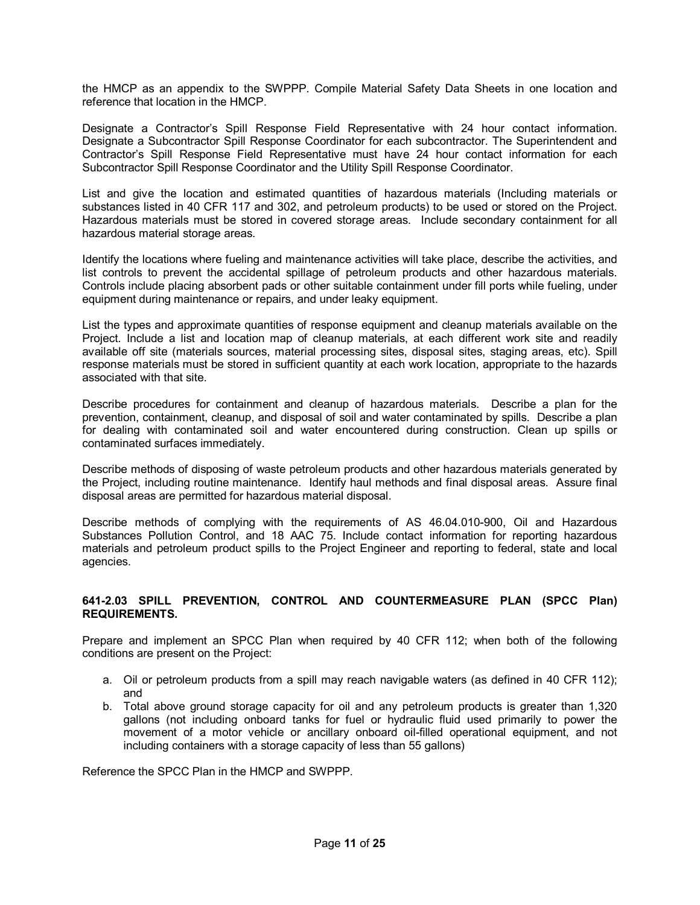the HMCP as an appendix to the SWPPP. Compile Material Safety Data Sheets in one location and reference that location in the HMCP.

Designate a Contractor's Spill Response Field Representative with 24 hour contact information. Designate a Subcontractor Spill Response Coordinator for each subcontractor. The Superintendent and Contractor's Spill Response Field Representative must have 24 hour contact information for each Subcontractor Spill Response Coordinator and the Utility Spill Response Coordinator.

List and give the location and estimated quantities of hazardous materials (Including materials or substances listed in 40 CFR 117 and 302, and petroleum products) to be used or stored on the Project. Hazardous materials must be stored in covered storage areas. Include secondary containment for all hazardous material storage areas.

Identify the locations where fueling and maintenance activities will take place, describe the activities, and list controls to prevent the accidental spillage of petroleum products and other hazardous materials. Controls include placing absorbent pads or other suitable containment under fill ports while fueling, under equipment during maintenance or repairs, and under leaky equipment.

List the types and approximate quantities of response equipment and cleanup materials available on the Project. Include a list and location map of cleanup materials, at each different work site and readily available off site (materials sources, material processing sites, disposal sites, staging areas, etc). Spill response materials must be stored in sufficient quantity at each work location, appropriate to the hazards associated with that site.

Describe procedures for containment and cleanup of hazardous materials. Describe a plan for the prevention, containment, cleanup, and disposal of soil and water contaminated by spills. Describe a plan for dealing with contaminated soil and water encountered during construction. Clean up spills or contaminated surfaces immediately.

Describe methods of disposing of waste petroleum products and other hazardous materials generated by the Project, including routine maintenance. Identify haul methods and final disposal areas. Assure final disposal areas are permitted for hazardous material disposal.

Describe methods of complying with the requirements of AS 46.04.010-900, Oil and Hazardous Substances Pollution Control, and 18 AAC 75. Include contact information for reporting hazardous materials and petroleum product spills to the Project Engineer and reporting to federal, state and local agencies.

## **6412.03 SPILL PREVENTION, CONTROL AND COUNTERMEASURE PLAN (SPCC Plan) REQUIREMENTS.**

Prepare and implement an SPCC Plan when required by 40 CFR 112; when both of the following conditions are present on the Project:

- a. Oil or petroleum products from a spill may reach navigable waters (as defined in 40 CFR 112); and
- b. Total above ground storage capacity for oil and any petroleum products is greater than 1,320 gallons (not including onboard tanks for fuel or hydraulic fluid used primarily to power the movement of a motor vehicle or ancillary onboard oil-filled operational equipment, and not including containers with a storage capacity of less than 55 gallons)

Reference the SPCC Plan in the HMCP and SWPPP.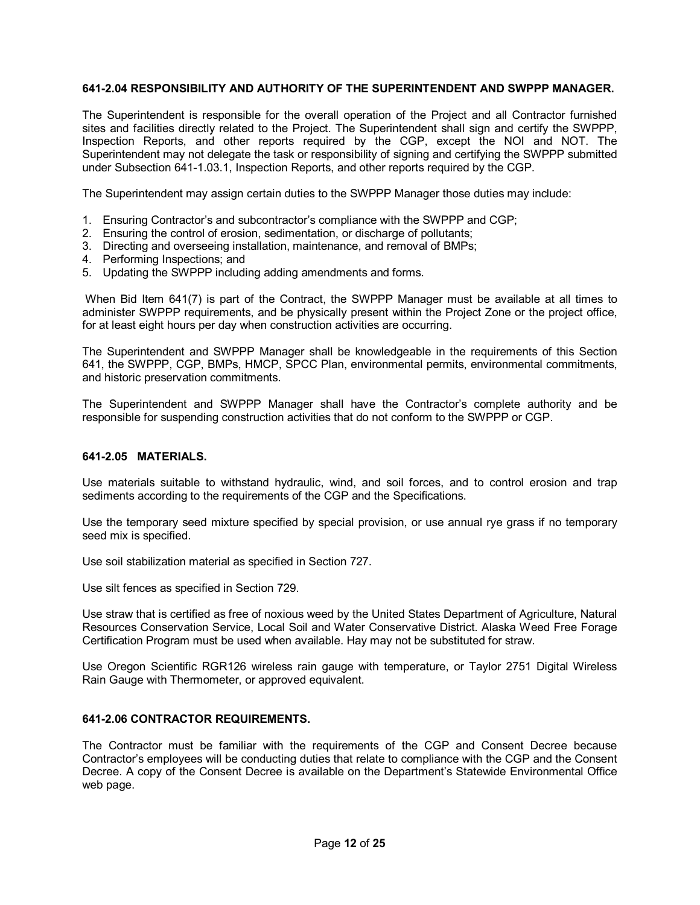## **6412.04 RESPONSIBILITY AND AUTHORITY OF THE SUPERINTENDENT AND SWPPP MANAGER.**

The Superintendent is responsible for the overall operation of the Project and all Contractor furnished sites and facilities directly related to the Project. The Superintendent shall sign and certify the SWPPP, Inspection Reports, and other reports required by the CGP, except the NOI and NOT. The Superintendent may not delegate the task or responsibility of signing and certifying the SWPPP submitted under Subsection 641-1.03.1, Inspection Reports, and other reports required by the CGP.

The Superintendent may assign certain duties to the SWPPP Manager those duties may include:

- 1. Ensuring Contractor's and subcontractor's compliance with the SWPPP and CGP;
- 2. Ensuring the control of erosion, sedimentation, or discharge of pollutants;
- 3. Directing and overseeing installation, maintenance, and removal of BMPs;
- 4. Performing Inspections; and
- 5. Updating the SWPPP including adding amendments and forms.

When Bid Item 641(7) is part of the Contract, the SWPPP Manager must be available at all times to administer SWPPP requirements, and be physically present within the Project Zone or the project office, for at least eight hours per day when construction activities are occurring.

The Superintendent and SWPPP Manager shall be knowledgeable in the requirements of this Section 641, the SWPPP, CGP, BMPs, HMCP, SPCC Plan, environmental permits, environmental commitments, and historic preservation commitments.

The Superintendent and SWPPP Manager shall have the Contractor's complete authority and be responsible for suspending construction activities that do not conform to the SWPPP or CGP.

#### **6412.05 MATERIALS.**

Use materials suitable to withstand hydraulic, wind, and soil forces, and to control erosion and trap sediments according to the requirements of the CGP and the Specifications.

Use the temporary seed mixture specified by special provision, or use annual rye grass if no temporary seed mix is specified.

Use soil stabilization material as specified in Section 727.

Use silt fences as specified in Section 729.

Use straw that is certified as free of noxious weed by the United States Department of Agriculture, Natural Resources Conservation Service, Local Soil and Water Conservative District. Alaska Weed Free Forage Certification Program must be used when available. Hay may not be substituted for straw.

Use Oregon Scientific RGR126 wireless rain gauge with temperature, or Taylor 2751 Digital Wireless Rain Gauge with Thermometer, or approved equivalent.

#### **6412.06 CONTRACTOR REQUIREMENTS.**

The Contractor must be familiar with the requirements of the CGP and Consent Decree because Contractor's employees will be conducting duties that relate to compliance with the CGP and the Consent Decree. A copy of the Consent Decree is available on the Department's Statewide Environmental Office web page.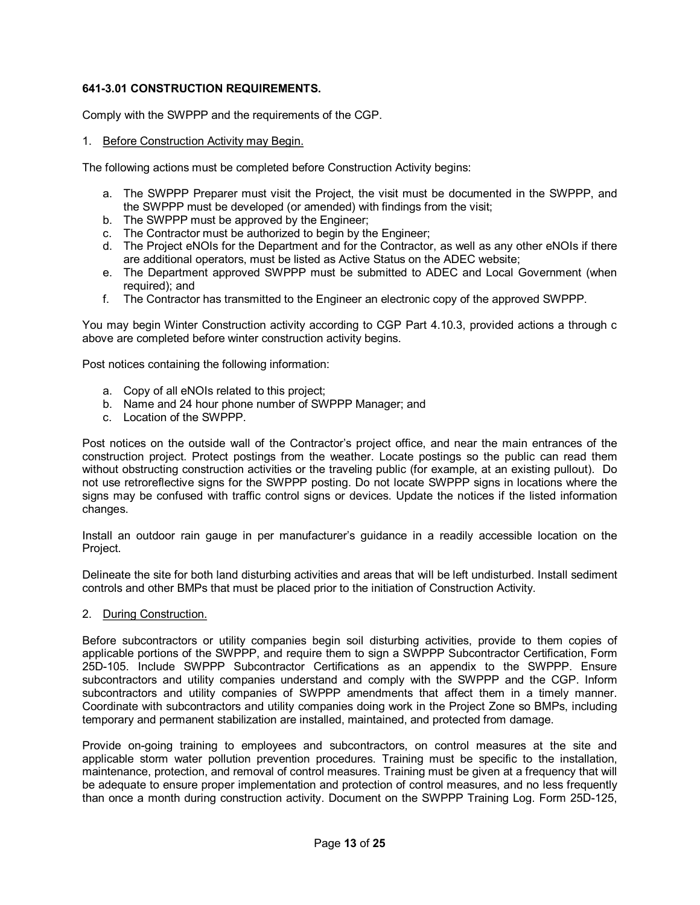## **6413.01 CONSTRUCTION REQUIREMENTS.**

Comply with the SWPPP and the requirements of the CGP.

1. Before Construction Activity may Begin.

The following actions must be completed before Construction Activity begins:

- a. The SWPPP Preparer must visit the Project, the visit must be documented in the SWPPP, and the SWPPP must be developed (or amended) with findings from the visit;
- b. The SWPPP must be approved by the Engineer;
- c. The Contractor must be authorized to begin by the Engineer;
- d. The Project eNOIs for the Department and for the Contractor, as well as any other eNOIs if there are additional operators, must be listed as Active Status on the ADEC website;
- e. The Department approved SWPPP must be submitted to ADEC and Local Government (when required); and
- f. The Contractor has transmitted to the Engineer an electronic copy of the approved SWPPP.

You may begin Winter Construction activity according to CGP Part 4.10.3, provided actions a through c above are completed before winter construction activity begins.

Post notices containing the following information:

- a. Copy of all eNOIs related to this project;
- b. Name and 24 hour phone number of SWPPP Manager; and
- c. Location of the SWPPP.

Post notices on the outside wall of the Contractor's project office, and near the main entrances of the construction project. Protect postings from the weather. Locate postings so the public can read them without obstructing construction activities or the traveling public (for example, at an existing pullout). Do not use retroreflective signs for the SWPPP posting. Do not locate SWPPP signs in locations where the signs may be confused with traffic control signs or devices. Update the notices if the listed information changes.

Install an outdoor rain gauge in per manufacturer's guidance in a readily accessible location on the Project.

Delineate the site for both land disturbing activities and areas that will be left undisturbed. Install sediment controls and other BMPs that must be placed prior to the initiation of Construction Activity.

### 2. During Construction.

Before subcontractors or utility companies begin soil disturbing activities, provide to them copies of applicable portions of the SWPPP, and require them to sign a SWPPP Subcontractor Certification, Form 25D-105. Include SWPPP Subcontractor Certifications as an appendix to the SWPPP. Ensure subcontractors and utility companies understand and comply with the SWPPP and the CGP. Inform subcontractors and utility companies of SWPPP amendments that affect them in a timely manner. Coordinate with subcontractors and utility companies doing work in the Project Zone so BMPs, including temporary and permanent stabilization are installed, maintained, and protected from damage.

Provide on-going training to employees and subcontractors, on control measures at the site and applicable storm water pollution prevention procedures. Training must be specific to the installation, maintenance, protection, and removal of control measures. Training must be given at a frequency that will be adequate to ensure proper implementation and protection of control measures, and no less frequently than once a month during construction activity. Document on the SWPPP Training Log. Form 25D-125,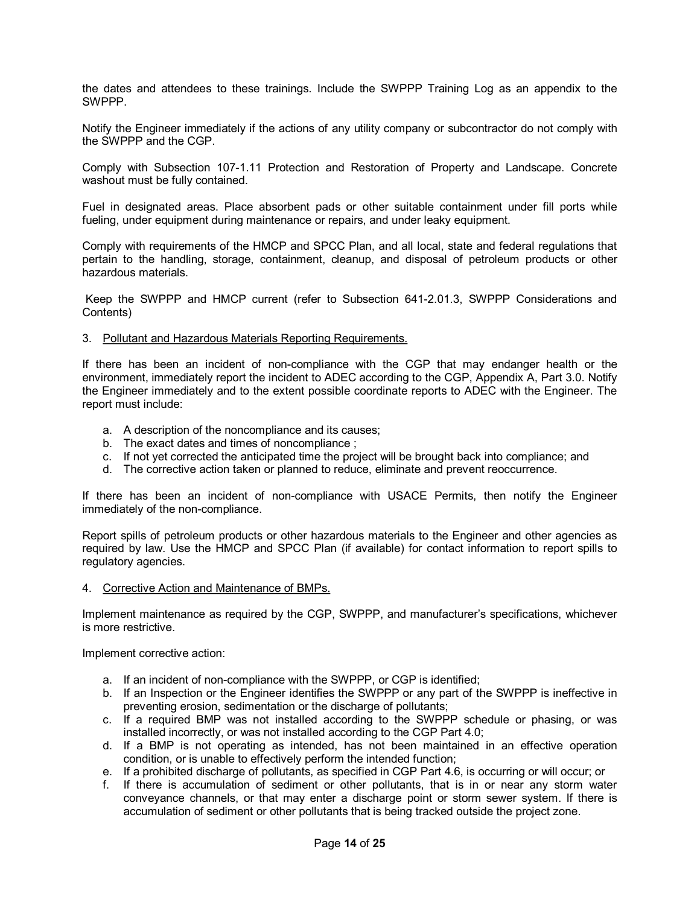the dates and attendees to these trainings. Include the SWPPP Training Log as an appendix to the SWPPP.

Notify the Engineer immediately if the actions of any utility company or subcontractor do not comply with the SWPPP and the CGP.

Comply with Subsection 107-1.11 Protection and Restoration of Property and Landscape. Concrete washout must be fully contained.

Fuel in designated areas. Place absorbent pads or other suitable containment under fill ports while fueling, under equipment during maintenance or repairs, and under leaky equipment.

Comply with requirements of the HMCP and SPCC Plan, and all local, state and federal regulations that pertain to the handling, storage, containment, cleanup, and disposal of petroleum products or other hazardous materials.

Keep the SWPPP and HMCP current (refer to Subsection 6412.01.3, SWPPP Considerations and Contents)

#### 3. Pollutant and Hazardous Materials Reporting Requirements.

If there has been an incident of non-compliance with the CGP that may endanger health or the environment, immediately report the incident to ADEC according to the CGP, Appendix A, Part 3.0. Notify the Engineer immediately and to the extent possible coordinate reports to ADEC with the Engineer. The report must include:

- a. A description of the noncompliance and its causes;
- b. The exact dates and times of noncompliance ;
- c. If not yet corrected the anticipated time the project will be brought back into compliance; and
- d. The corrective action taken or planned to reduce, eliminate and prevent reoccurrence.

If there has been an incident of non-compliance with USACE Permits, then notify the Engineer immediately of the non-compliance.

Report spills of petroleum products or other hazardous materials to the Engineer and other agencies as required by law. Use the HMCP and SPCC Plan (if available) for contact information to report spills to regulatory agencies.

#### 4. Corrective Action and Maintenance of BMPs.

Implement maintenance as required by the CGP, SWPPP, and manufacturer's specifications, whichever is more restrictive.

Implement corrective action:

- a. If an incident of non-compliance with the SWPPP, or CGP is identified;
- b. If an Inspection or the Engineer identifies the SWPPP or any part of the SWPPP is ineffective in preventing erosion, sedimentation or the discharge of pollutants;
- c. If a required BMP was not installed according to the SWPPP schedule or phasing, or was installed incorrectly, or was not installed according to the CGP Part 4.0;
- d. If a BMP is not operating as intended, has not been maintained in an effective operation condition, or is unable to effectively perform the intended function;
- e. If a prohibited discharge of pollutants, as specified in CGP Part 4.6, is occurring or will occur; or
- f. If there is accumulation of sediment or other pollutants, that is in or near any storm water conveyance channels, or that may enter a discharge point or storm sewer system. If there is accumulation of sediment or other pollutants that is being tracked outside the project zone.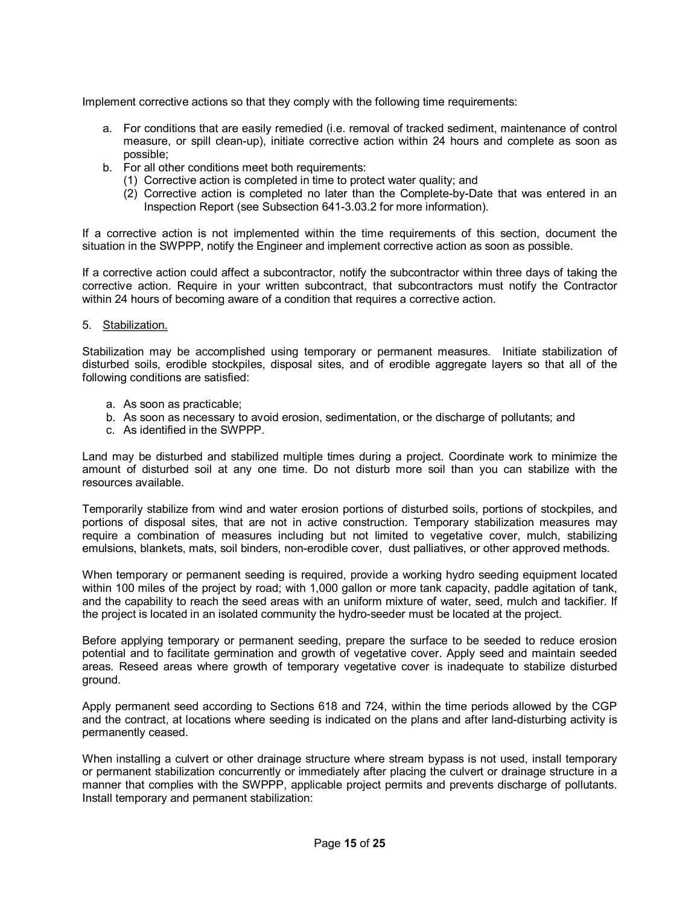Implement corrective actions so that they comply with the following time requirements:

- a. For conditions that are easily remedied (i.e. removal of tracked sediment, maintenance of control measure, or spill clean-up), initiate corrective action within 24 hours and complete as soon as possible;
- b. For all other conditions meet both requirements:
	- (1) Corrective action is completed in time to protect water quality; and
	- (2) Corrective action is completed no later than the Complete-by-Date that was entered in an Inspection Report (see Subsection 641-3.03.2 for more information).

If a corrective action is not implemented within the time requirements of this section, document the situation in the SWPPP, notify the Engineer and implement corrective action as soon as possible.

If a corrective action could affect a subcontractor, notify the subcontractor within three days of taking the corrective action. Require in your written subcontract, that subcontractors must notify the Contractor within 24 hours of becoming aware of a condition that requires a corrective action.

## 5. Stabilization.

Stabilization may be accomplished using temporary or permanent measures. Initiate stabilization of disturbed soils, erodible stockpiles, disposal sites, and of erodible aggregate layers so that all of the following conditions are satisfied:

- a. As soon as practicable;
- b. As soon as necessary to avoid erosion, sedimentation, or the discharge of pollutants; and
- c. As identified in the SWPPP.

Land may be disturbed and stabilized multiple times during a project. Coordinate work to minimize the amount of disturbed soil at any one time. Do not disturb more soil than you can stabilize with the resources available.

Temporarily stabilize from wind and water erosion portions of disturbed soils, portions of stockpiles, and portions of disposal sites, that are not in active construction. Temporary stabilization measures may require a combination of measures including but not limited to vegetative cover, mulch, stabilizing emulsions, blankets, mats, soil binders, non-erodible cover, dust palliatives, or other approved methods.

When temporary or permanent seeding is required, provide a working hydro seeding equipment located within 100 miles of the project by road; with 1,000 gallon or more tank capacity, paddle agitation of tank, and the capability to reach the seed areas with an uniform mixture of water, seed, mulch and tackifier. If the project is located in an isolated community the hydro-seeder must be located at the project.

Before applying temporary or permanent seeding, prepare the surface to be seeded to reduce erosion potential and to facilitate germination and growth of vegetative cover. Apply seed and maintain seeded areas. Reseed areas where growth of temporary vegetative cover is inadequate to stabilize disturbed ground.

Apply permanent seed according to Sections 618 and 724, within the time periods allowed by the CGP and the contract, at locations where seeding is indicated on the plans and after land-disturbing activity is permanently ceased.

When installing a culvert or other drainage structure where stream bypass is not used, install temporary or permanent stabilization concurrently or immediately after placing the culvert or drainage structure in a manner that complies with the SWPPP, applicable project permits and prevents discharge of pollutants. Install temporary and permanent stabilization: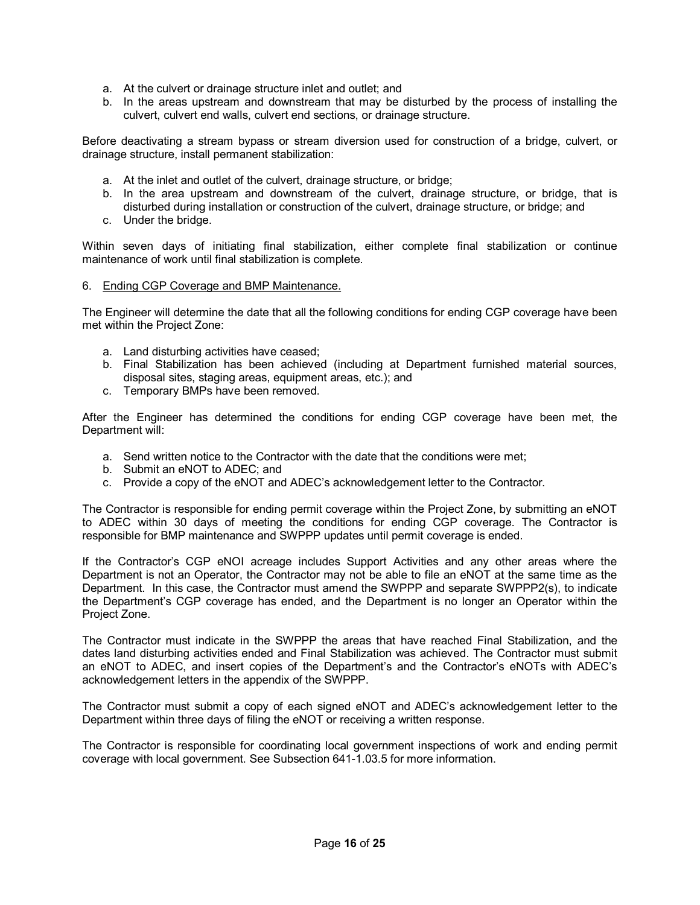- a. At the culvert or drainage structure inlet and outlet; and
- b. In the areas upstream and downstream that may be disturbed by the process of installing the culvert, culvert end walls, culvert end sections, or drainage structure.

Before deactivating a stream bypass or stream diversion used for construction of a bridge, culvert, or drainage structure, install permanent stabilization:

- a. At the inlet and outlet of the culvert, drainage structure, or bridge;
- b. In the area upstream and downstream of the culvert, drainage structure, or bridge, that is disturbed during installation or construction of the culvert, drainage structure, or bridge; and
- c. Under the bridge.

Within seven days of initiating final stabilization, either complete final stabilization or continue maintenance of work until final stabilization is complete.

6. Ending CGP Coverage and BMP Maintenance.

The Engineer will determine the date that all the following conditions for ending CGP coverage have been met within the Project Zone:

- a. Land disturbing activities have ceased;
- b. Final Stabilization has been achieved (including at Department furnished material sources, disposal sites, staging areas, equipment areas, etc.); and
- c. Temporary BMPs have been removed.

After the Engineer has determined the conditions for ending CGP coverage have been met, the Department will:

- a. Send written notice to the Contractor with the date that the conditions were met;
- b. Submit an eNOT to ADEC; and
- c. Provide a copy of the eNOT and ADEC's acknowledgement letter to the Contractor.

The Contractor is responsible for ending permit coverage within the Project Zone, by submitting an eNOT to ADEC within 30 days of meeting the conditions for ending CGP coverage. The Contractor is responsible for BMP maintenance and SWPPP updates until permit coverage is ended.

If the Contractor's CGP eNOI acreage includes Support Activities and any other areas where the Department is not an Operator, the Contractor may not be able to file an eNOT at the same time as the Department. In this case, the Contractor must amend the SWPPP and separate SWPPP2(s), to indicate the Department's CGP coverage has ended, and the Department is no longer an Operator within the Project Zone.

The Contractor must indicate in the SWPPP the areas that have reached Final Stabilization, and the dates land disturbing activities ended and Final Stabilization was achieved. The Contractor must submit an eNOT to ADEC, and insert copies of the Department's and the Contractor's eNOTs with ADEC's acknowledgement letters in the appendix of the SWPPP.

The Contractor must submit a copy of each signed eNOT and ADEC's acknowledgement letter to the Department within three days of filing the eNOT or receiving a written response.

The Contractor is responsible for coordinating local government inspections of work and ending permit coverage with local government. See Subsection 641-1.03.5 for more information.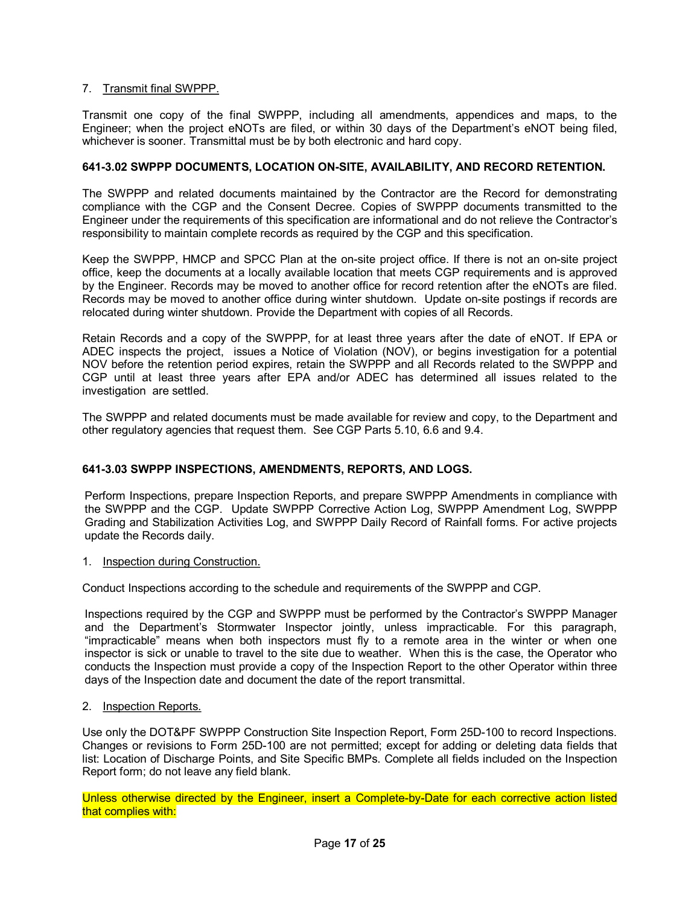## 7. Transmit final SWPPP.

Transmit one copy of the final SWPPP, including all amendments, appendices and maps, to the Engineer; when the project eNOTs are filed, or within 30 days of the Department's eNOT being filed, whichever is sooner. Transmittal must be by both electronic and hard copy.

## **6413.02 SWPPP DOCUMENTS, LOCATION ONSITE, AVAILABILITY, AND RECORD RETENTION.**

The SWPPP and related documents maintained by the Contractor are the Record for demonstrating compliance with the CGP and the Consent Decree. Copies of SWPPP documents transmitted to the Engineer under the requirements of this specification are informational and do not relieve the Contractor's responsibility to maintain complete records as required by the CGP and this specification.

Keep the SWPPP, HMCP and SPCC Plan at the on-site project office. If there is not an on-site project office, keep the documents at a locally available location that meets CGP requirements and is approved by the Engineer. Records may be moved to another office for record retention after the eNOTs are filed. Records may be moved to another office during winter shutdown. Update on-site postings if records are relocated during winter shutdown. Provide the Department with copies of all Records.

Retain Records and a copy of the SWPPP, for at least three years after the date of eNOT. If EPA or ADEC inspects the project, issues a Notice of Violation (NOV), or begins investigation for a potential NOV before the retention period expires, retain the SWPPP and all Records related to the SWPPP and CGP until at least three years after EPA and/or ADEC has determined all issues related to the investigation are settled.

The SWPPP and related documents must be made available for review and copy, to the Department and other regulatory agencies that request them. See CGP Parts 5.10, 6.6 and 9.4.

## **6413.03 SWPPP INSPECTIONS, AMENDMENTS, REPORTS, AND LOGS.**

Perform Inspections, prepare Inspection Reports, and prepare SWPPP Amendments in compliance with the SWPPP and the CGP. Update SWPPP Corrective Action Log, SWPPP Amendment Log, SWPPP Grading and Stabilization Activities Log, and SWPPP Daily Record of Rainfall forms. For active projects update the Records daily.

### 1. Inspection during Construction.

Conduct Inspections according to the schedule and requirements of the SWPPP and CGP.

Inspections required by the CGP and SWPPP must be performed by the Contractor's SWPPP Manager and the Department's Stormwater Inspector jointly, unless impracticable. For this paragraph, "impracticable" means when both inspectors must fly to a remote area in the winter or when one inspector is sick or unable to travel to the site due to weather. When this is the case, the Operator who conducts the Inspection must provide a copy of the Inspection Report to the other Operator within three days of the Inspection date and document the date of the report transmittal.

2. Inspection Reports.

Use only the DOT&PF SWPPP Construction Site Inspection Report, Form 25D-100 to record Inspections. Changes or revisions to Form 25D-100 are not permitted; except for adding or deleting data fields that list: Location of Discharge Points, and Site Specific BMPs. Complete all fields included on the Inspection Report form; do not leave any field blank.

Unless otherwise directed by the Engineer, insert a Complete-by-Date for each corrective action listed that complies with: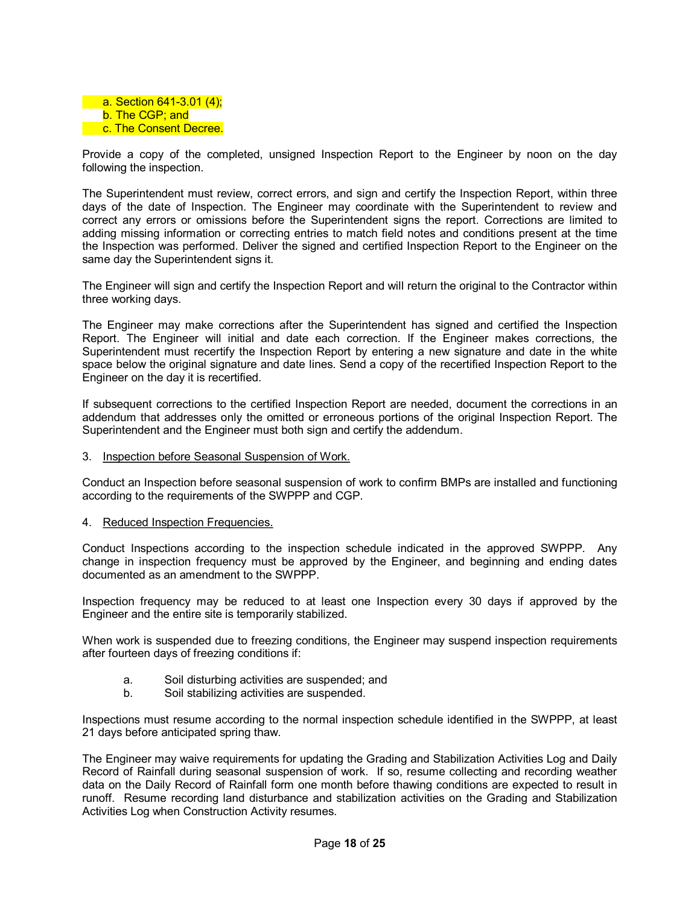

Provide a copy of the completed, unsigned Inspection Report to the Engineer by noon on the day following the inspection.

The Superintendent must review, correct errors, and sign and certify the Inspection Report, within three days of the date of Inspection. The Engineer may coordinate with the Superintendent to review and correct any errors or omissions before the Superintendent signs the report. Corrections are limited to adding missing information or correcting entries to match field notes and conditions present at the time the Inspection was performed. Deliver the signed and certified Inspection Report to the Engineer on the same day the Superintendent signs it.

The Engineer will sign and certify the Inspection Report and will return the original to the Contractor within three working days.

The Engineer may make corrections after the Superintendent has signed and certified the Inspection Report. The Engineer will initial and date each correction. If the Engineer makes corrections, the Superintendent must recertify the Inspection Report by entering a new signature and date in the white space below the original signature and date lines. Send a copy of the recertified Inspection Report to the Engineer on the day it is recertified.

If subsequent corrections to the certified Inspection Report are needed, document the corrections in an addendum that addresses only the omitted or erroneous portions of the original Inspection Report. The Superintendent and the Engineer must both sign and certify the addendum.

3. Inspection before Seasonal Suspension of Work.

Conduct an Inspection before seasonal suspension of work to confirm BMPs are installed and functioning according to the requirements of the SWPPP and CGP.

4. Reduced Inspection Frequencies.

Conduct Inspections according to the inspection schedule indicated in the approved SWPPP. Any change in inspection frequency must be approved by the Engineer, and beginning and ending dates documented as an amendment to the SWPPP.

Inspection frequency may be reduced to at least one Inspection every 30 days if approved by the Engineer and the entire site is temporarily stabilized.

When work is suspended due to freezing conditions, the Engineer may suspend inspection requirements after fourteen days of freezing conditions if:

- a. Soil disturbing activities are suspended; and
- b. Soil stabilizing activities are suspended.

Inspections must resume according to the normal inspection schedule identified in the SWPPP, at least 21 days before anticipated spring thaw.

The Engineer may waive requirements for updating the Grading and Stabilization Activities Log and Daily Record of Rainfall during seasonal suspension of work. If so, resume collecting and recording weather data on the Daily Record of Rainfall form one month before thawing conditions are expected to result in runoff. Resume recording land disturbance and stabilization activities on the Grading and Stabilization Activities Log when Construction Activity resumes.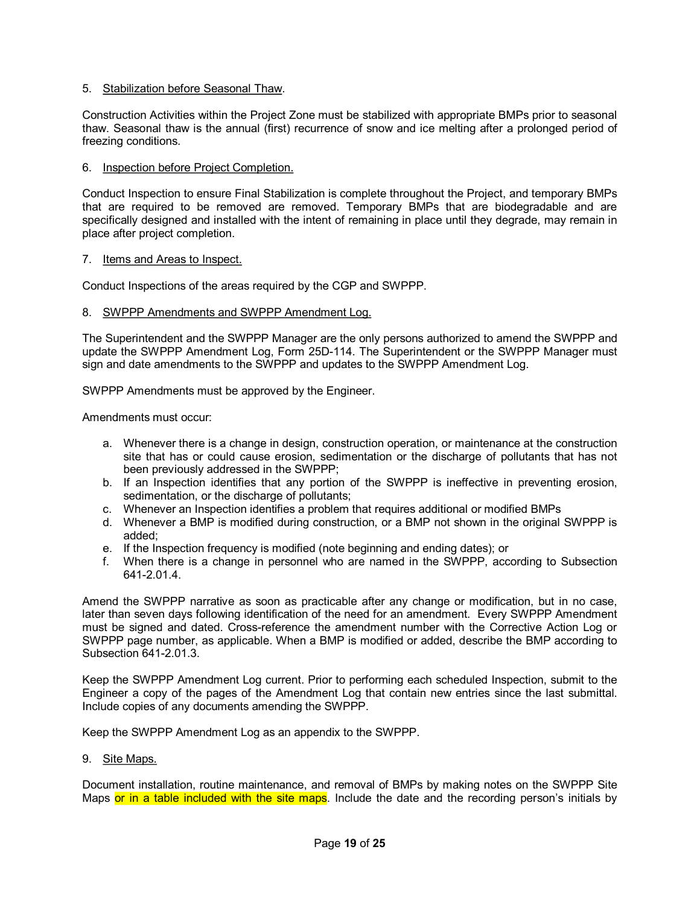## 5. Stabilization before Seasonal Thaw.

Construction Activities within the Project Zone must be stabilized with appropriate BMPs prior to seasonal thaw. Seasonal thaw is the annual (first) recurrence of snow and ice melting after a prolonged period of freezing conditions.

## 6. Inspection before Project Completion.

Conduct Inspection to ensure Final Stabilization is complete throughout the Project, and temporary BMPs that are required to be removed are removed. Temporary BMPs that are biodegradable and are specifically designed and installed with the intent of remaining in place until they degrade, may remain in place after project completion.

### 7. Items and Areas to Inspect.

Conduct Inspections of the areas required by the CGP and SWPPP.

## 8. SWPPP Amendments and SWPPP Amendment Log.

The Superintendent and the SWPPP Manager are the only persons authorized to amend the SWPPP and update the SWPPP Amendment Log, Form 25D-114. The Superintendent or the SWPPP Manager must sign and date amendments to the SWPPP and updates to the SWPPP Amendment Log.

SWPPP Amendments must be approved by the Engineer.

Amendments must occur:

- a. Whenever there is a change in design, construction operation, or maintenance at the construction site that has or could cause erosion, sedimentation or the discharge of pollutants that has not been previously addressed in the SWPPP;
- b. If an Inspection identifies that any portion of the SWPPP is ineffective in preventing erosion, sedimentation, or the discharge of pollutants;
- c. Whenever an Inspection identifies a problem that requires additional or modified BMPs
- d. Whenever a BMP is modified during construction, or a BMP not shown in the original SWPPP is added;
- e. If the Inspection frequency is modified (note beginning and ending dates); or
- f. When there is a change in personnel who are named in the SWPPP, according to Subsection 6412.01.4.

Amend the SWPPP narrative as soon as practicable after any change or modification, but in no case, later than seven days following identification of the need for an amendment. Every SWPPP Amendment must be signed and dated. Cross-reference the amendment number with the Corrective Action Log or SWPPP page number, as applicable. When a BMP is modified or added, describe the BMP according to Subsection 641-2.01.3.

Keep the SWPPP Amendment Log current. Prior to performing each scheduled Inspection, submit to the Engineer a copy of the pages of the Amendment Log that contain new entries since the last submittal. Include copies of any documents amending the SWPPP.

Keep the SWPPP Amendment Log as an appendix to the SWPPP.

9. Site Maps.

Document installation, routine maintenance, and removal of BMPs by making notes on the SWPPP Site Maps or in a table included with the site maps. Include the date and the recording person's initials by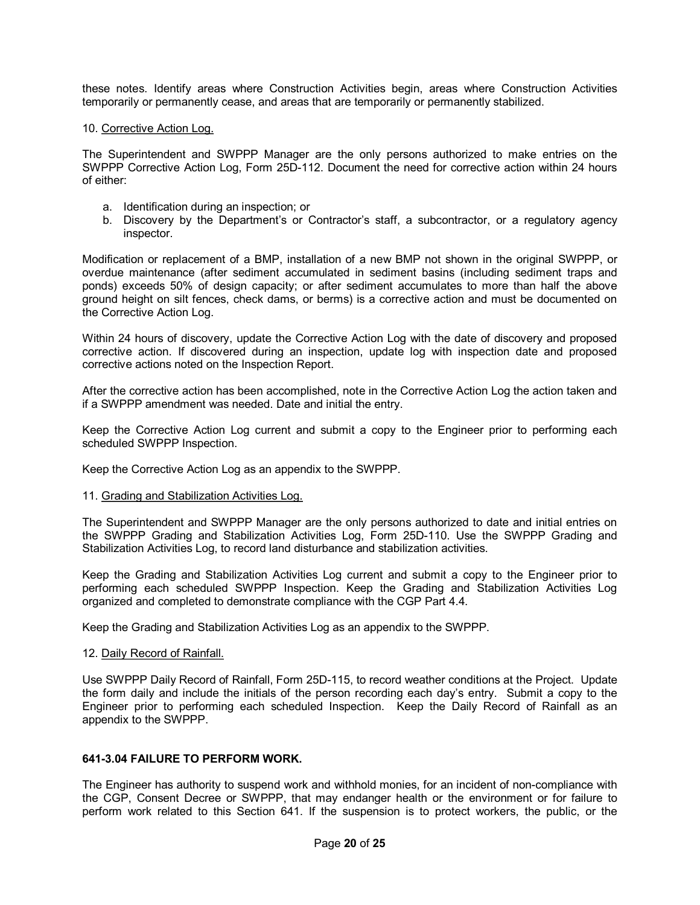these notes. Identify areas where Construction Activities begin, areas where Construction Activities temporarily or permanently cease, and areas that are temporarily or permanently stabilized.

#### 10. Corrective Action Log.

The Superintendent and SWPPP Manager are the only persons authorized to make entries on the SWPPP Corrective Action Log, Form 25D-112. Document the need for corrective action within 24 hours of either:

- a. Identification during an inspection; or
- b. Discovery by the Department's or Contractor's staff, a subcontractor, or a regulatory agency inspector.

Modification or replacement of a BMP, installation of a new BMP not shown in the original SWPPP, or overdue maintenance (after sediment accumulated in sediment basins (including sediment traps and ponds) exceeds 50% of design capacity; or after sediment accumulates to more than half the above ground height on silt fences, check dams, or berms) is a corrective action and must be documented on the Corrective Action Log.

Within 24 hours of discovery, update the Corrective Action Log with the date of discovery and proposed corrective action. If discovered during an inspection, update log with inspection date and proposed corrective actions noted on the Inspection Report.

After the corrective action has been accomplished, note in the Corrective Action Log the action taken and if a SWPPP amendment was needed. Date and initial the entry.

Keep the Corrective Action Log current and submit a copy to the Engineer prior to performing each scheduled SWPPP Inspection.

Keep the Corrective Action Log as an appendix to the SWPPP.

### 11. Grading and Stabilization Activities Log.

The Superintendent and SWPPP Manager are the only persons authorized to date and initial entries on the SWPPP Grading and Stabilization Activities Log. Form 25D-110. Use the SWPPP Grading and Stabilization Activities Log, to record land disturbance and stabilization activities.

Keep the Grading and Stabilization Activities Log current and submit a copy to the Engineer prior to performing each scheduled SWPPP Inspection. Keep the Grading and Stabilization Activities Log organized and completed to demonstrate compliance with the CGP Part 4.4.

Keep the Grading and Stabilization Activities Log as an appendix to the SWPPP.

## 12. Daily Record of Rainfall.

Use SWPPP Daily Record of Rainfall, Form 25D-115, to record weather conditions at the Project. Update the form daily and include the initials of the person recording each day's entry. Submit a copy to the Engineer prior to performing each scheduled Inspection. Keep the Daily Record of Rainfall as an appendix to the SWPPP.

## **6413.04 FAILURE TO PERFORM WORK.**

The Engineer has authority to suspend work and withhold monies, for an incident of non-compliance with the CGP, Consent Decree or SWPPP, that may endanger health or the environment or for failure to perform work related to this Section 641. If the suspension is to protect workers, the public, or the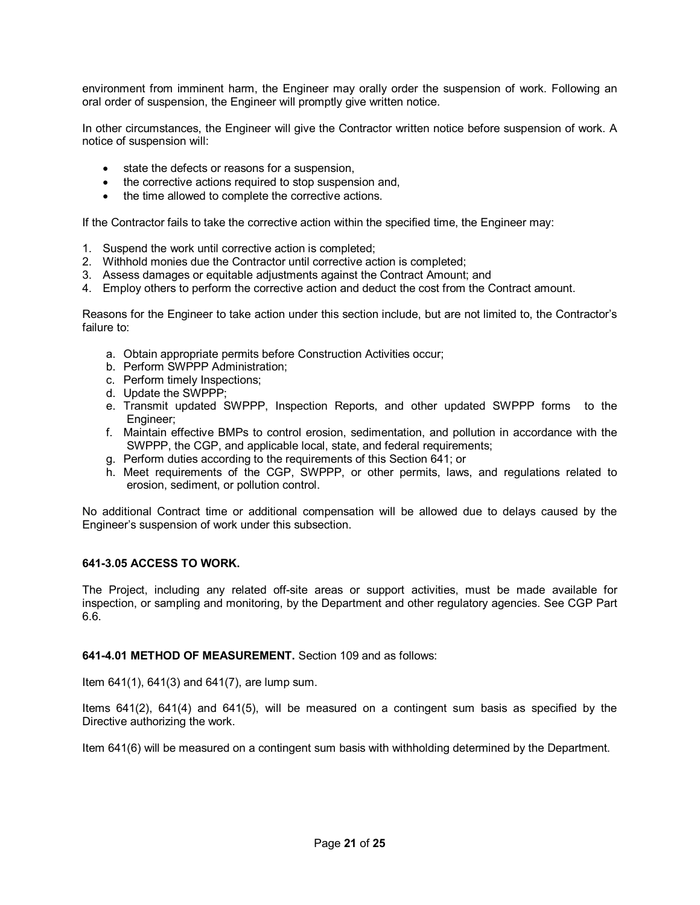environment from imminent harm, the Engineer may orally order the suspension of work. Following an oral order of suspension, the Engineer will promptly give written notice.

In other circumstances, the Engineer will give the Contractor written notice before suspension of work. A notice of suspension will:

- · state the defects or reasons for a suspension,
- · the corrective actions required to stop suspension and,
- the time allowed to complete the corrective actions.

If the Contractor fails to take the corrective action within the specified time, the Engineer may:

- 1. Suspend the work until corrective action is completed;
- 2. Withhold monies due the Contractor until corrective action is completed;
- 3. Assess damages or equitable adjustments against the Contract Amount; and
- 4. Employ others to perform the corrective action and deduct the cost from the Contract amount.

Reasons for the Engineer to take action under this section include, but are not limited to, the Contractor's failure to:

- a. Obtain appropriate permits before Construction Activities occur;
- b. Perform SWPPP Administration;
- c. Perform timely Inspections;
- d. Update the SWPPP;
- e. Transmit updated SWPPP, Inspection Reports, and other updated SWPPP forms to the Engineer;
- f. Maintain effective BMPs to control erosion, sedimentation, and pollution in accordance with the SWPPP, the CGP, and applicable local, state, and federal requirements;
- g. Perform duties according to the requirements of this Section 641; or
- h. Meet requirements of the CGP, SWPPP, or other permits, laws, and regulations related to erosion, sediment, or pollution control.

No additional Contract time or additional compensation will be allowed due to delays caused by the Engineer's suspension of work under this subsection.

### **6413.05 ACCESS TO WORK.**

The Project, including any related off-site areas or support activities, must be made available for inspection, or sampling and monitoring, by the Department and other regulatory agencies. See CGP Part 6.6.

## **6414.01 METHOD OF MEASUREMENT.** Section 109 and as follows:

Item 641(1), 641(3) and 641(7), are lump sum.

Items 641(2), 641(4) and 641(5), will be measured on a contingent sum basis as specified by the Directive authorizing the work.

Item 641(6) will be measured on a contingent sum basis with withholding determined by the Department.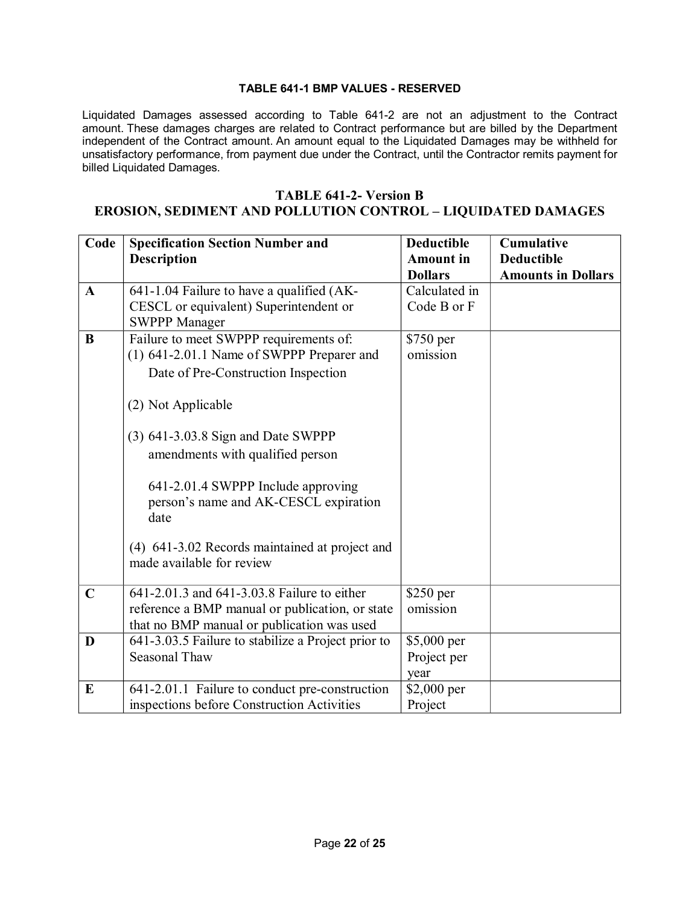## **TABLE 6411 BMP VALUES RESERVED**

Liquidated Damages assessed according to Table 6412 are not an adjustment to the Contract amount. These damages charges are related to Contract performance but are billed by the Department independent of the Contract amount. An amount equal to the Liquidated Damages may be withheld for unsatisfactory performance, from payment due under the Contract, until the Contractor remits payment for billed Liquidated Damages.

# **TABLE 6412 Version B EROSION, SEDIMENT AND POLLUTION CONTROL – LIQUIDATED DAMAGES**

| Code         | <b>Specification Section Number and</b><br><b>Description</b>                                                                                | <b>Deductible</b><br><b>Amount</b> in<br><b>Dollars</b> | <b>Cumulative</b><br><b>Deductible</b><br><b>Amounts in Dollars</b> |
|--------------|----------------------------------------------------------------------------------------------------------------------------------------------|---------------------------------------------------------|---------------------------------------------------------------------|
| $\mathbf{A}$ | 641-1.04 Failure to have a qualified (AK-<br>CESCL or equivalent) Superintendent or<br><b>SWPPP Manager</b>                                  | Calculated in<br>Code B or F                            |                                                                     |
| $\bf{B}$     | Failure to meet SWPPP requirements of:<br>(1) 641-2.01.1 Name of SWPPP Preparer and<br>Date of Pre-Construction Inspection                   | \$750 per<br>omission                                   |                                                                     |
|              | (2) Not Applicable<br>$(3)$ 641-3.03.8 Sign and Date SWPPP                                                                                   |                                                         |                                                                     |
|              | amendments with qualified person<br>641-2.01.4 SWPPP Include approving<br>person's name and AK-CESCL expiration<br>date                      |                                                         |                                                                     |
|              | (4) 641-3.02 Records maintained at project and<br>made available for review                                                                  |                                                         |                                                                     |
| $\mathbf C$  | 641-2.01.3 and 641-3.03.8 Failure to either<br>reference a BMP manual or publication, or state<br>that no BMP manual or publication was used | \$250 per<br>omission                                   |                                                                     |
| D            | 641-3.03.5 Failure to stabilize a Project prior to<br>Seasonal Thaw                                                                          | \$5,000 per<br>Project per<br>year                      |                                                                     |
| E            | 641-2.01.1 Failure to conduct pre-construction<br>inspections before Construction Activities                                                 | \$2,000 per<br>Project                                  |                                                                     |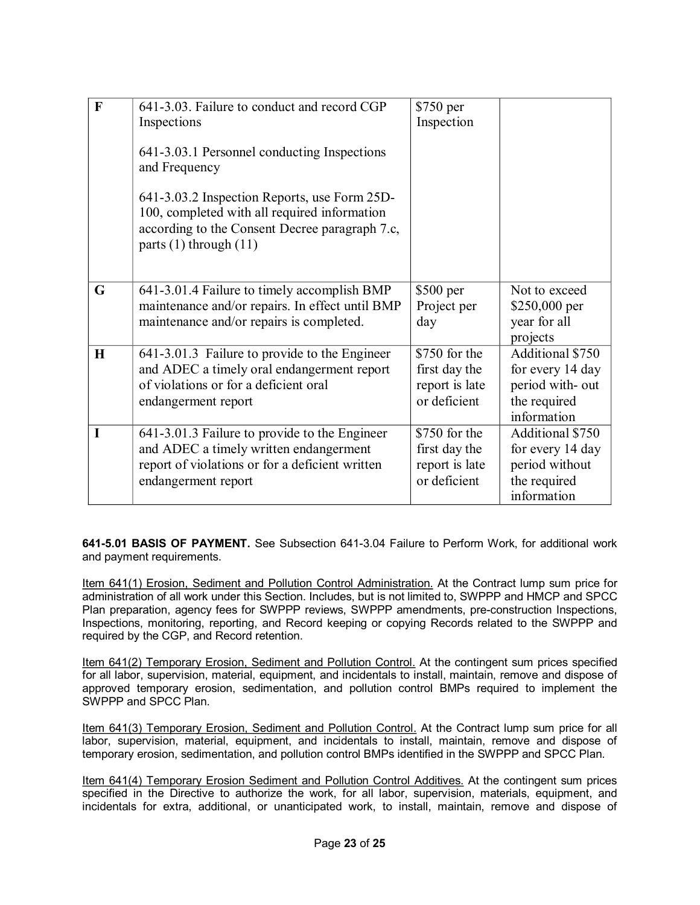| $\mathbf{F}$ | 641-3.03. Failure to conduct and record CGP                                                                                                                                  | \$750 per      |                  |
|--------------|------------------------------------------------------------------------------------------------------------------------------------------------------------------------------|----------------|------------------|
|              | Inspections                                                                                                                                                                  | Inspection     |                  |
|              |                                                                                                                                                                              |                |                  |
|              | 641-3.03.1 Personnel conducting Inspections<br>and Frequency                                                                                                                 |                |                  |
|              | 641-3.03.2 Inspection Reports, use Form 25D-<br>100, completed with all required information<br>according to the Consent Decree paragraph 7.c,<br>parts $(1)$ through $(11)$ |                |                  |
| G            | 641-3.01.4 Failure to timely accomplish BMP                                                                                                                                  | \$500 per      | Not to exceed    |
|              | maintenance and/or repairs. In effect until BMP                                                                                                                              | Project per    | \$250,000 per    |
|              | maintenance and/or repairs is completed.                                                                                                                                     | day            | year for all     |
|              |                                                                                                                                                                              |                | projects         |
| $\bf H$      | 641-3.01.3 Failure to provide to the Engineer                                                                                                                                | \$750 for the  | Additional \$750 |
|              | and ADEC a timely oral endangerment report                                                                                                                                   | first day the  | for every 14 day |
|              | of violations or for a deficient oral                                                                                                                                        | report is late | period with-out  |
|              | endangerment report                                                                                                                                                          | or deficient   | the required     |
|              |                                                                                                                                                                              |                | information      |
| I            | 641-3.01.3 Failure to provide to the Engineer                                                                                                                                | \$750 for the  | Additional \$750 |
|              | and ADEC a timely written endangerment                                                                                                                                       | first day the  | for every 14 day |
|              | report of violations or for a deficient written                                                                                                                              | report is late | period without   |
|              | endangerment report                                                                                                                                                          | or deficient   | the required     |
|              |                                                                                                                                                                              |                | information      |

**6415.01 BASIS OF PAYMENT.** See Subsection 6413.04 Failure to Perform Work, for additional work and payment requirements.

Item 641(1) Erosion, Sediment and Pollution Control Administration. At the Contract lump sum price for administration of all work under this Section. Includes, but is not limited to, SWPPP and HMCP and SPCC Plan preparation, agency fees for SWPPP reviews, SWPPP amendments, pre-construction Inspections, Inspections, monitoring, reporting, and Record keeping or copying Records related to the SWPPP and required by the CGP, and Record retention.

Item 641(2) Temporary Erosion, Sediment and Pollution Control. At the contingent sum prices specified for all labor, supervision, material, equipment, and incidentals to install, maintain, remove and dispose of approved temporary erosion, sedimentation, and pollution control BMPs required to implement the SWPPP and SPCC Plan.

Item 641(3) Temporary Erosion, Sediment and Pollution Control. At the Contract lump sum price for all labor, supervision, material, equipment, and incidentals to install, maintain, remove and dispose of temporary erosion, sedimentation, and pollution control BMPs identified in the SWPPP and SPCC Plan.

Item 641(4) Temporary Erosion Sediment and Pollution Control Additives. At the contingent sum prices specified in the Directive to authorize the work, for all labor, supervision, materials, equipment, and incidentals for extra, additional, or unanticipated work, to install, maintain, remove and dispose of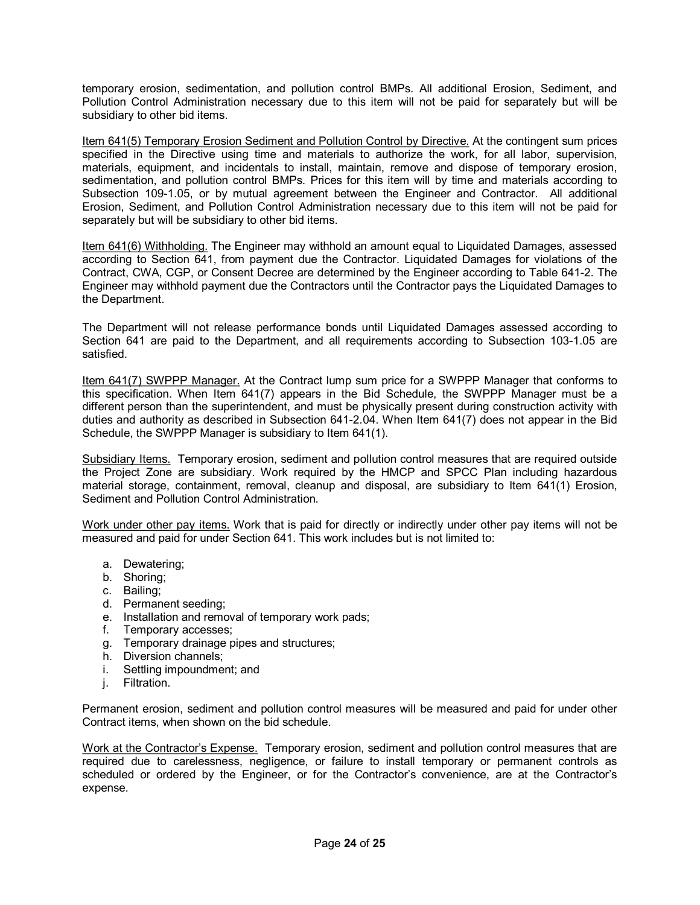temporary erosion, sedimentation, and pollution control BMPs. All additional Erosion, Sediment, and Pollution Control Administration necessary due to this item will not be paid for separately but will be subsidiary to other bid items.

Item 641(5) Temporary Erosion Sediment and Pollution Control by Directive. At the contingent sum prices specified in the Directive using time and materials to authorize the work, for all labor, supervision, materials, equipment, and incidentals to install, maintain, remove and dispose of temporary erosion, sedimentation, and pollution control BMPs. Prices for this item will by time and materials according to Subsection 109-1.05, or by mutual agreement between the Engineer and Contractor. All additional Erosion, Sediment, and Pollution Control Administration necessary due to this item will not be paid for separately but will be subsidiary to other bid items.

Item 641(6) Withholding. The Engineer may withhold an amount equal to Liquidated Damages, assessed according to Section 641, from payment due the Contractor. Liquidated Damages for violations of the Contract, CWA, CGP, or Consent Decree are determined by the Engineer according to Table 6412. The Engineer may withhold payment due the Contractors until the Contractor pays the Liquidated Damages to the Department.

The Department will not release performance bonds until Liquidated Damages assessed according to Section 641 are paid to the Department, and all requirements according to Subsection 103-1.05 are satisfied.

Item 641(7) SWPPP Manager. At the Contract lump sum price for a SWPPP Manager that conforms to this specification. When Item 641(7) appears in the Bid Schedule, the SWPPP Manager must be a different person than the superintendent, and must be physically present during construction activity with duties and authority as described in Subsection 6412.04. When Item 641(7) does not appear in the Bid Schedule, the SWPPP Manager is subsidiary to Item 641(1).

Subsidiary Items. Temporary erosion, sediment and pollution control measures that are required outside the Project Zone are subsidiary. Work required by the HMCP and SPCC Plan including hazardous material storage, containment, removal, cleanup and disposal, are subsidiary to Item 641(1) Erosion, Sediment and Pollution Control Administration.

Work under other pay items. Work that is paid for directly or indirectly under other pay items will not be measured and paid for under Section 641. This work includes but is not limited to:

- a. Dewatering;
- b. Shoring;
- c. Bailing;
- d. Permanent seeding;
- e. Installation and removal of temporary work pads;
- f. Temporary accesses;
- g. Temporary drainage pipes and structures;
- h. Diversion channels;
- i. Settling impoundment; and
- j. Filtration.

Permanent erosion, sediment and pollution control measures will be measured and paid for under other Contract items, when shown on the bid schedule.

Work at the Contractor's Expense. Temporary erosion, sediment and pollution control measures that are required due to carelessness, negligence, or failure to install temporary or permanent controls as scheduled or ordered by the Engineer, or for the Contractor's convenience, are at the Contractor's expense.